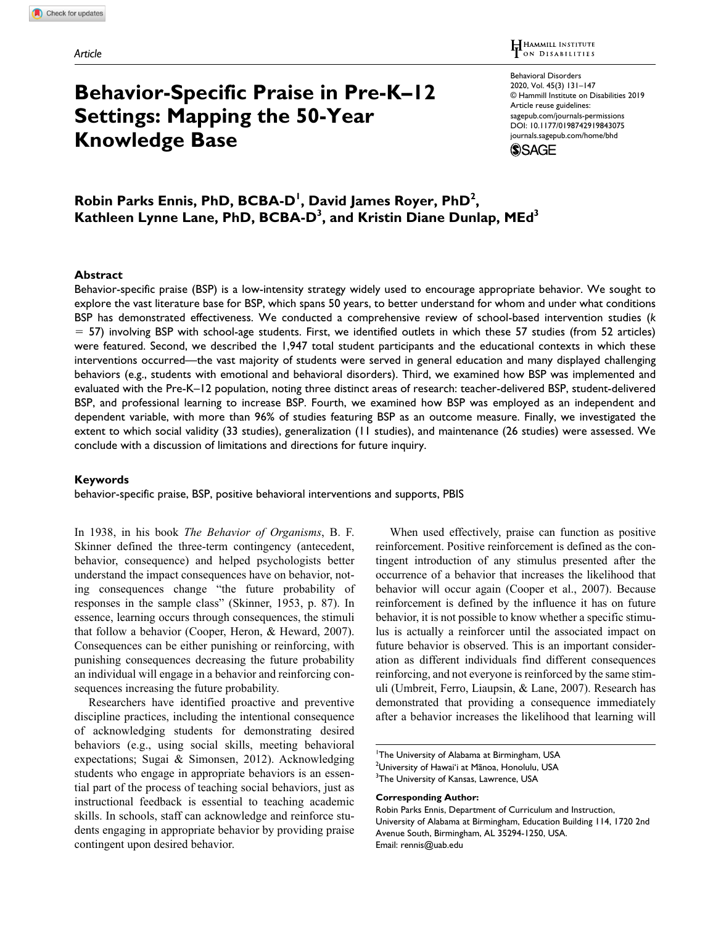# **Behavior-Specific Praise in Pre-K–12 Settings: Mapping the 50-Year Knowledge Base**

H HAMMILL INSTITUTE ON DISABILITIES

https://doi.org/10.1177/0198742919843075 DOI: 10.1177/0198742919843075 Behavioral Disorders 2020, Vol. 45(3) 131–147 © Hammill Institute on Disabilities 2019 Article reuse guidelines: [sagepub.com/journals-permissions](https://us.sagepub.com/en-us/journals-permissions) [journals.sagepub.com/home/](https://journals.sagepub.com/home/bhd)bhd



## **Robin Parks Ennis, PhD, BCBA-D<sup>I</sup>, David James Royer, PhD<sup>2</sup>, Kathleen Lynne Lane, PhD, BCBA-D3 , and Kristin Diane Dunlap, MEd3**

#### **Abstract**

Behavior-specific praise (BSP) is a low-intensity strategy widely used to encourage appropriate behavior. We sought to explore the vast literature base for BSP, which spans 50 years, to better understand for whom and under what conditions BSP has demonstrated effectiveness. We conducted a comprehensive review of school-based intervention studies (*k* = 57) involving BSP with school-age students. First, we identified outlets in which these 57 studies (from 52 articles) were featured. Second, we described the 1,947 total student participants and the educational contexts in which these interventions occurred—the vast majority of students were served in general education and many displayed challenging behaviors (e.g., students with emotional and behavioral disorders). Third, we examined how BSP was implemented and evaluated with the Pre-K–12 population, noting three distinct areas of research: teacher-delivered BSP, student-delivered BSP, and professional learning to increase BSP. Fourth, we examined how BSP was employed as an independent and dependent variable, with more than 96% of studies featuring BSP as an outcome measure. Finally, we investigated the extent to which social validity (33 studies), generalization (11 studies), and maintenance (26 studies) were assessed. We conclude with a discussion of limitations and directions for future inquiry.

## **Keywords**

behavior-specific praise, BSP, positive behavioral interventions and supports, PBIS

In 1938, in his book *The Behavior of Organisms*, B. F. Skinner defined the three-term contingency (antecedent, behavior, consequence) and helped psychologists better understand the impact consequences have on behavior, noting consequences change "the future probability of responses in the sample class" (Skinner, 1953, p. 87). In essence, learning occurs through consequences, the stimuli that follow a behavior (Cooper, Heron, & Heward, 2007). Consequences can be either punishing or reinforcing, with punishing consequences decreasing the future probability an individual will engage in a behavior and reinforcing consequences increasing the future probability.

Researchers have identified proactive and preventive discipline practices, including the intentional consequence of acknowledging students for demonstrating desired behaviors (e.g., using social skills, meeting behavioral expectations; Sugai & Simonsen, 2012). Acknowledging students who engage in appropriate behaviors is an essential part of the process of teaching social behaviors, just as instructional feedback is essential to teaching academic skills. In schools, staff can acknowledge and reinforce students engaging in appropriate behavior by providing praise contingent upon desired behavior.

When used effectively, praise can function as positive reinforcement. Positive reinforcement is defined as the contingent introduction of any stimulus presented after the occurrence of a behavior that increases the likelihood that behavior will occur again (Cooper et al., 2007). Because reinforcement is defined by the influence it has on future behavior, it is not possible to know whether a specific stimulus is actually a reinforcer until the associated impact on future behavior is observed. This is an important consideration as different individuals find different consequences reinforcing, and not everyone is reinforced by the same stimuli (Umbreit, Ferro, Liaupsin, & Lane, 2007). Research has demonstrated that providing a consequence immediately after a behavior increases the likelihood that learning will

<sup>1</sup>The University of Alabama at Birmingham, USA  $^{\rm 2}$ University of Hawai'i at Mānoa, Honolulu, USA <sup>3</sup>The University of Kansas, Lawrence, USA

#### **Corresponding Author:**

Robin Parks Ennis, Department of Curriculum and Instruction, University of Alabama at Birmingham, Education Building 114, 1720 2nd Avenue South, Birmingham, AL 35294-1250, USA. Email: [rennis@uab.edu](mailto:rennis@uab.edu)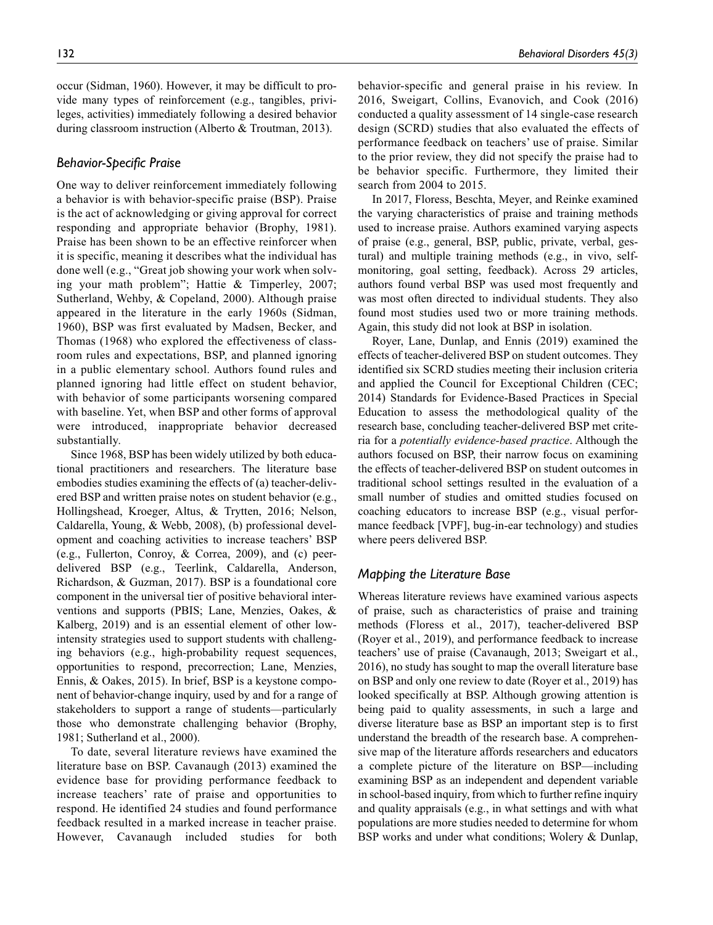occur (Sidman, 1960). However, it may be difficult to provide many types of reinforcement (e.g., tangibles, privileges, activities) immediately following a desired behavior during classroom instruction (Alberto & Troutman, 2013).

## *Behavior-Specific Praise*

One way to deliver reinforcement immediately following a behavior is with behavior-specific praise (BSP). Praise is the act of acknowledging or giving approval for correct responding and appropriate behavior (Brophy, 1981). Praise has been shown to be an effective reinforcer when it is specific, meaning it describes what the individual has done well (e.g., "Great job showing your work when solving your math problem"; Hattie & Timperley, 2007; Sutherland, Wehby, & Copeland, 2000). Although praise appeared in the literature in the early 1960s (Sidman, 1960), BSP was first evaluated by Madsen, Becker, and Thomas (1968) who explored the effectiveness of classroom rules and expectations, BSP, and planned ignoring in a public elementary school. Authors found rules and planned ignoring had little effect on student behavior, with behavior of some participants worsening compared with baseline. Yet, when BSP and other forms of approval were introduced, inappropriate behavior decreased substantially.

Since 1968, BSP has been widely utilized by both educational practitioners and researchers. The literature base embodies studies examining the effects of (a) teacher-delivered BSP and written praise notes on student behavior (e.g., Hollingshead, Kroeger, Altus, & Trytten, 2016; Nelson, Caldarella, Young, & Webb, 2008), (b) professional development and coaching activities to increase teachers' BSP (e.g., Fullerton, Conroy, & Correa, 2009), and (c) peerdelivered BSP (e.g., Teerlink, Caldarella, Anderson, Richardson, & Guzman, 2017). BSP is a foundational core component in the universal tier of positive behavioral interventions and supports (PBIS; Lane, Menzies, Oakes, & Kalberg, 2019) and is an essential element of other lowintensity strategies used to support students with challenging behaviors (e.g., high-probability request sequences, opportunities to respond, precorrection; Lane, Menzies, Ennis, & Oakes, 2015). In brief, BSP is a keystone component of behavior-change inquiry, used by and for a range of stakeholders to support a range of students—particularly those who demonstrate challenging behavior (Brophy, 1981; Sutherland et al., 2000).

To date, several literature reviews have examined the literature base on BSP. Cavanaugh (2013) examined the evidence base for providing performance feedback to increase teachers' rate of praise and opportunities to respond. He identified 24 studies and found performance feedback resulted in a marked increase in teacher praise. However, Cavanaugh included studies for both

behavior-specific and general praise in his review. In 2016, Sweigart, Collins, Evanovich, and Cook (2016) conducted a quality assessment of 14 single-case research design (SCRD) studies that also evaluated the effects of performance feedback on teachers' use of praise. Similar to the prior review, they did not specify the praise had to be behavior specific. Furthermore, they limited their search from 2004 to 2015.

In 2017, Floress, Beschta, Meyer, and Reinke examined the varying characteristics of praise and training methods used to increase praise. Authors examined varying aspects of praise (e.g., general, BSP, public, private, verbal, gestural) and multiple training methods (e.g., in vivo, selfmonitoring, goal setting, feedback). Across 29 articles, authors found verbal BSP was used most frequently and was most often directed to individual students. They also found most studies used two or more training methods. Again, this study did not look at BSP in isolation.

Royer, Lane, Dunlap, and Ennis (2019) examined the effects of teacher-delivered BSP on student outcomes. They identified six SCRD studies meeting their inclusion criteria and applied the Council for Exceptional Children (CEC; 2014) Standards for Evidence-Based Practices in Special Education to assess the methodological quality of the research base, concluding teacher-delivered BSP met criteria for a *potentially evidence-based practice*. Although the authors focused on BSP, their narrow focus on examining the effects of teacher-delivered BSP on student outcomes in traditional school settings resulted in the evaluation of a small number of studies and omitted studies focused on coaching educators to increase BSP (e.g., visual performance feedback [VPF], bug-in-ear technology) and studies where peers delivered BSP.

## *Mapping the Literature Base*

Whereas literature reviews have examined various aspects of praise, such as characteristics of praise and training methods (Floress et al., 2017), teacher-delivered BSP (Royer et al., 2019), and performance feedback to increase teachers' use of praise (Cavanaugh, 2013; Sweigart et al., 2016), no study has sought to map the overall literature base on BSP and only one review to date (Royer et al., 2019) has looked specifically at BSP. Although growing attention is being paid to quality assessments, in such a large and diverse literature base as BSP an important step is to first understand the breadth of the research base. A comprehensive map of the literature affords researchers and educators a complete picture of the literature on BSP—including examining BSP as an independent and dependent variable in school-based inquiry, from which to further refine inquiry and quality appraisals (e.g., in what settings and with what populations are more studies needed to determine for whom BSP works and under what conditions; Wolery & Dunlap,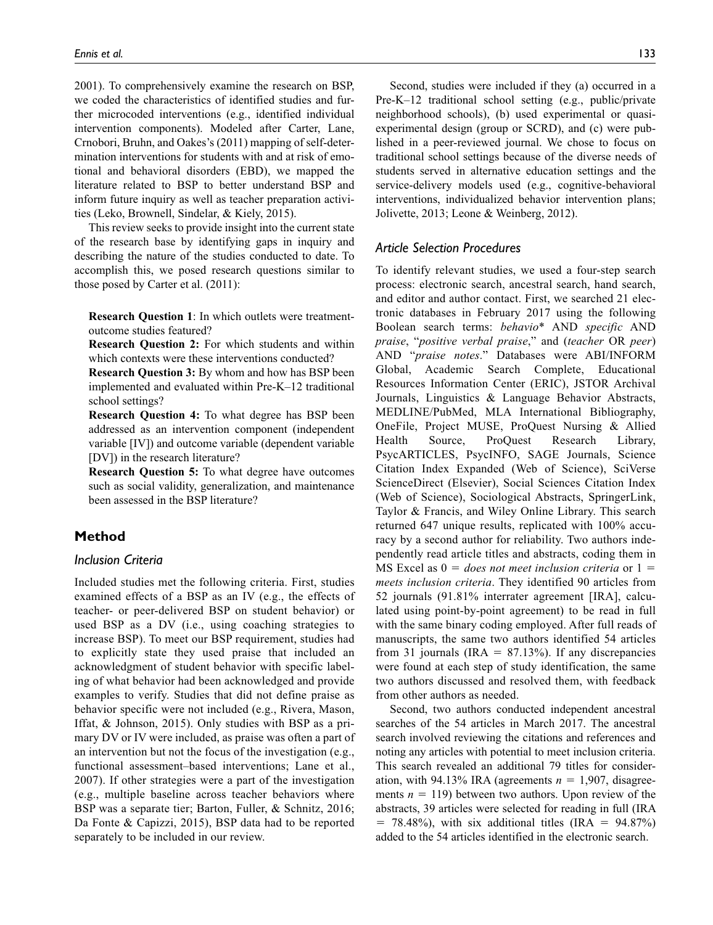2001). To comprehensively examine the research on BSP, we coded the characteristics of identified studies and further microcoded interventions (e.g., identified individual intervention components). Modeled after Carter, Lane, Crnobori, Bruhn, and Oakes's (2011) mapping of self-determination interventions for students with and at risk of emotional and behavioral disorders (EBD), we mapped the literature related to BSP to better understand BSP and inform future inquiry as well as teacher preparation activities (Leko, Brownell, Sindelar, & Kiely, 2015).

This review seeks to provide insight into the current state of the research base by identifying gaps in inquiry and describing the nature of the studies conducted to date. To accomplish this, we posed research questions similar to those posed by Carter et al. (2011):

**Research Question 1**: In which outlets were treatmentoutcome studies featured?

**Research Question 2:** For which students and within which contexts were these interventions conducted?

**Research Question 3:** By whom and how has BSP been implemented and evaluated within Pre-K–12 traditional school settings?

**Research Question 4:** To what degree has BSP been addressed as an intervention component (independent variable [IV]) and outcome variable (dependent variable [DV]) in the research literature?

**Research Question 5:** To what degree have outcomes such as social validity, generalization, and maintenance been assessed in the BSP literature?

## **Method**

#### *Inclusion Criteria*

Included studies met the following criteria. First, studies examined effects of a BSP as an IV (e.g., the effects of teacher- or peer-delivered BSP on student behavior) or used BSP as a DV (i.e., using coaching strategies to increase BSP). To meet our BSP requirement, studies had to explicitly state they used praise that included an acknowledgment of student behavior with specific labeling of what behavior had been acknowledged and provide examples to verify. Studies that did not define praise as behavior specific were not included (e.g., Rivera, Mason, Iffat, & Johnson, 2015). Only studies with BSP as a primary DV or IV were included, as praise was often a part of an intervention but not the focus of the investigation (e.g., functional assessment–based interventions; Lane et al., 2007). If other strategies were a part of the investigation (e.g., multiple baseline across teacher behaviors where BSP was a separate tier; Barton, Fuller, & Schnitz, 2016; Da Fonte & Capizzi, 2015), BSP data had to be reported separately to be included in our review.

Second, studies were included if they (a) occurred in a Pre-K–12 traditional school setting (e.g., public/private neighborhood schools), (b) used experimental or quasiexperimental design (group or SCRD), and (c) were published in a peer-reviewed journal. We chose to focus on traditional school settings because of the diverse needs of students served in alternative education settings and the service-delivery models used (e.g., cognitive-behavioral interventions, individualized behavior intervention plans; Jolivette, 2013; Leone & Weinberg, 2012).

## *Article Selection Procedures*

To identify relevant studies, we used a four-step search process: electronic search, ancestral search, hand search, and editor and author contact. First, we searched 21 electronic databases in February 2017 using the following Boolean search terms: *behavio*\* AND *specific* AND *praise*, "*positive verbal praise*," and (*teacher* OR *peer*) AND "*praise notes*." Databases were ABI/INFORM Global, Academic Search Complete, Educational Resources Information Center (ERIC), JSTOR Archival Journals, Linguistics & Language Behavior Abstracts, MEDLINE/PubMed, MLA International Bibliography, OneFile, Project MUSE, ProQuest Nursing & Allied Health Source, ProQuest Research Library, PsycARTICLES, PsycINFO, SAGE Journals, Science Citation Index Expanded (Web of Science), SciVerse ScienceDirect (Elsevier), Social Sciences Citation Index (Web of Science), Sociological Abstracts, SpringerLink, Taylor & Francis, and Wiley Online Library. This search returned 647 unique results, replicated with 100% accuracy by a second author for reliability. Two authors independently read article titles and abstracts, coding them in MS Excel as 0 = *does not meet inclusion criteria* or 1 = *meets inclusion criteria*. They identified 90 articles from 52 journals (91.81% interrater agreement [IRA], calculated using point-by-point agreement) to be read in full with the same binary coding employed. After full reads of manuscripts, the same two authors identified 54 articles from 31 journals (IRA =  $87.13\%$ ). If any discrepancies were found at each step of study identification, the same two authors discussed and resolved them, with feedback from other authors as needed.

Second, two authors conducted independent ancestral searches of the 54 articles in March 2017. The ancestral search involved reviewing the citations and references and noting any articles with potential to meet inclusion criteria. This search revealed an additional 79 titles for consideration, with 94.13% IRA (agreements  $n = 1,907$ , disagreements  $n = 119$ ) between two authors. Upon review of the abstracts, 39 articles were selected for reading in full (IRA  $= 78.48\%$ , with six additional titles (IRA  $= 94.87\%$ ) added to the 54 articles identified in the electronic search.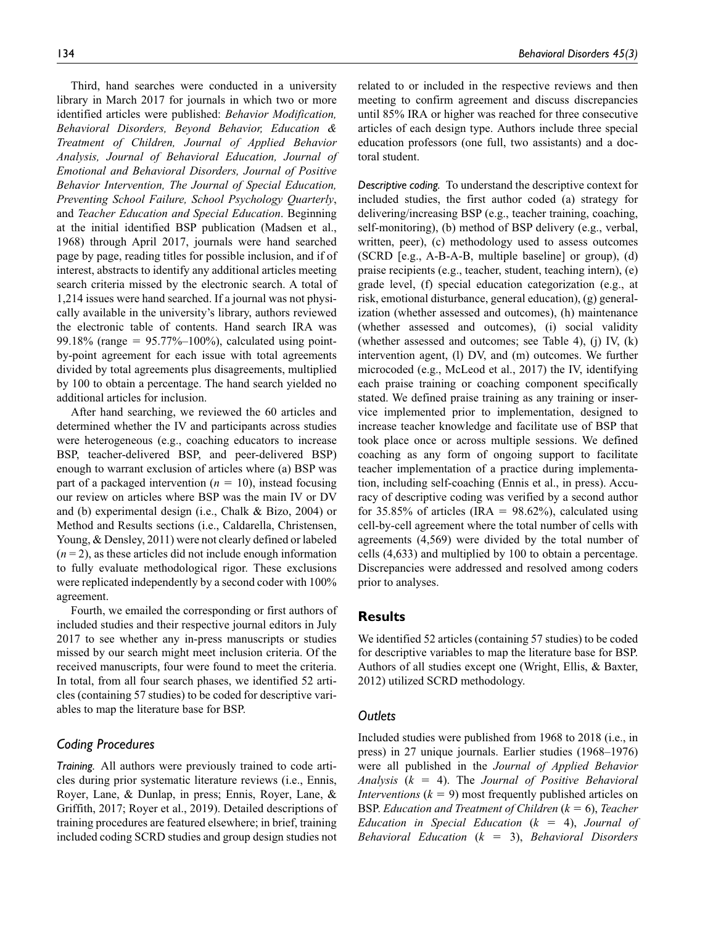Third, hand searches were conducted in a university library in March 2017 for journals in which two or more identified articles were published: *Behavior Modification, Behavioral Disorders, Beyond Behavior, Education & Treatment of Children, Journal of Applied Behavior Analysis, Journal of Behavioral Education, Journal of Emotional and Behavioral Disorders, Journal of Positive Behavior Intervention, The Journal of Special Education, Preventing School Failure, School Psychology Quarterly*, and *Teacher Education and Special Education*. Beginning at the initial identified BSP publication (Madsen et al., 1968) through April 2017, journals were hand searched page by page, reading titles for possible inclusion, and if of interest, abstracts to identify any additional articles meeting search criteria missed by the electronic search. A total of 1,214 issues were hand searched. If a journal was not physically available in the university's library, authors reviewed the electronic table of contents. Hand search IRA was 99.18% (range =  $95.77\% - 100\%$ ), calculated using pointby-point agreement for each issue with total agreements divided by total agreements plus disagreements, multiplied by 100 to obtain a percentage. The hand search yielded no additional articles for inclusion.

After hand searching, we reviewed the 60 articles and determined whether the IV and participants across studies were heterogeneous (e.g., coaching educators to increase BSP, teacher-delivered BSP, and peer-delivered BSP) enough to warrant exclusion of articles where (a) BSP was part of a packaged intervention ( $n = 10$ ), instead focusing our review on articles where BSP was the main IV or DV and (b) experimental design (i.e., Chalk & Bizo, 2004) or Method and Results sections (i.e., Caldarella, Christensen, Young, & Densley, 2011) were not clearly defined or labeled  $(n = 2)$ , as these articles did not include enough information to fully evaluate methodological rigor. These exclusions were replicated independently by a second coder with 100% agreement.

Fourth, we emailed the corresponding or first authors of included studies and their respective journal editors in July 2017 to see whether any in-press manuscripts or studies missed by our search might meet inclusion criteria. Of the received manuscripts, four were found to meet the criteria. In total, from all four search phases, we identified 52 articles (containing 57 studies) to be coded for descriptive variables to map the literature base for BSP.

## *Coding Procedures*

*Training.* All authors were previously trained to code articles during prior systematic literature reviews (i.e., Ennis, Royer, Lane, & Dunlap, in press; Ennis, Royer, Lane, & Griffith, 2017; Royer et al., 2019). Detailed descriptions of training procedures are featured elsewhere; in brief, training included coding SCRD studies and group design studies not related to or included in the respective reviews and then meeting to confirm agreement and discuss discrepancies until 85% IRA or higher was reached for three consecutive articles of each design type. Authors include three special education professors (one full, two assistants) and a doctoral student.

*Descriptive coding.* To understand the descriptive context for included studies, the first author coded (a) strategy for delivering/increasing BSP (e.g., teacher training, coaching, self-monitoring), (b) method of BSP delivery (e.g., verbal, written, peer), (c) methodology used to assess outcomes (SCRD [e.g., A-B-A-B, multiple baseline] or group), (d) praise recipients (e.g., teacher, student, teaching intern), (e) grade level, (f) special education categorization (e.g., at risk, emotional disturbance, general education), (g) generalization (whether assessed and outcomes), (h) maintenance (whether assessed and outcomes), (i) social validity (whether assessed and outcomes; see Table 4), (j) IV, (k) intervention agent, (l) DV, and (m) outcomes. We further microcoded (e.g., McLeod et al., 2017) the IV, identifying each praise training or coaching component specifically stated. We defined praise training as any training or inservice implemented prior to implementation, designed to increase teacher knowledge and facilitate use of BSP that took place once or across multiple sessions. We defined coaching as any form of ongoing support to facilitate teacher implementation of a practice during implementation, including self-coaching (Ennis et al., in press). Accuracy of descriptive coding was verified by a second author for 35.85% of articles (IRA =  $98.62\%$ ), calculated using cell-by-cell agreement where the total number of cells with agreements (4,569) were divided by the total number of cells (4,633) and multiplied by 100 to obtain a percentage. Discrepancies were addressed and resolved among coders prior to analyses.

## **Results**

We identified 52 articles (containing 57 studies) to be coded for descriptive variables to map the literature base for BSP. Authors of all studies except one (Wright, Ellis, & Baxter, 2012) utilized SCRD methodology.

## *Outlets*

Included studies were published from 1968 to 2018 (i.e., in press) in 27 unique journals. Earlier studies (1968–1976) were all published in the *Journal of Applied Behavior Analysis* (*k* = 4). The *Journal of Positive Behavioral Interventions*  $(k = 9)$  most frequently published articles on BSP. *Education and Treatment of Children* (*k* = 6), *Teacher Education in Special Education* (*k* = 4), *Journal of Behavioral Education* (*k* = 3), *Behavioral Disorders*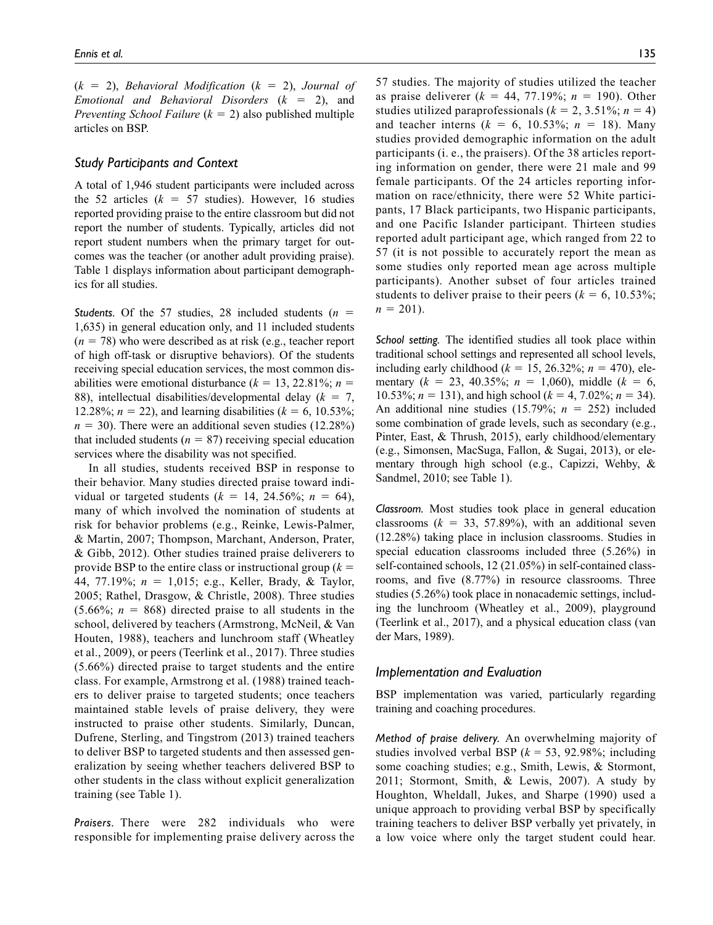(*k* = 2), *Behavioral Modification* (*k* = 2), *Journal of Emotional and Behavioral Disorders* (*k* = 2), and *Preventing School Failure* (*k* = 2) also published multiple articles on BSP.

#### *Study Participants and Context*

A total of 1,946 student participants were included across the 52 articles  $(k = 57$  studies). However, 16 studies reported providing praise to the entire classroom but did not report the number of students. Typically, articles did not report student numbers when the primary target for outcomes was the teacher (or another adult providing praise). Table 1 displays information about participant demographics for all studies.

*Students.* Of the 57 studies, 28 included students (*n* = 1,635) in general education only, and 11 included students (*n* = 78) who were described as at risk (e.g., teacher report of high off-task or disruptive behaviors). Of the students receiving special education services, the most common disabilities were emotional disturbance  $(k = 13, 22.81\%; n =$ 88), intellectual disabilities/developmental delay (*k* = 7, 12.28%;  $n = 22$ ), and learning disabilities ( $k = 6, 10.53\%$ ;  $n = 30$ ). There were an additional seven studies (12.28%) that included students  $(n = 87)$  receiving special education services where the disability was not specified.

In all studies, students received BSP in response to their behavior. Many studies directed praise toward individual or targeted students ( $k = 14, 24.56\%$ ;  $n = 64$ ), many of which involved the nomination of students at risk for behavior problems (e.g., Reinke, Lewis-Palmer, & Martin, 2007; Thompson, Marchant, Anderson, Prater, & Gibb, 2012). Other studies trained praise deliverers to provide BSP to the entire class or instructional group  $(k =$ 44, 77.19%; *n* = 1,015; e.g., Keller, Brady, & Taylor, 2005; Rathel, Drasgow, & Christle, 2008). Three studies  $(5.66\%; n = 868)$  directed praise to all students in the school, delivered by teachers (Armstrong, McNeil, & Van Houten, 1988), teachers and lunchroom staff (Wheatley et al., 2009), or peers (Teerlink et al., 2017). Three studies (5.66%) directed praise to target students and the entire class. For example, Armstrong et al. (1988) trained teachers to deliver praise to targeted students; once teachers maintained stable levels of praise delivery, they were instructed to praise other students. Similarly, Duncan, Dufrene, Sterling, and Tingstrom (2013) trained teachers to deliver BSP to targeted students and then assessed generalization by seeing whether teachers delivered BSP to other students in the class without explicit generalization training (see Table 1).

*Praisers.* There were 282 individuals who were responsible for implementing praise delivery across the 57 studies. The majority of studies utilized the teacher as praise deliverer (*k* = 44, 77.19%; *n* = 190). Other studies utilized paraprofessionals  $(k = 2, 3.51\%; n = 4)$ and teacher interns ( $k = 6$ , 10.53%;  $n = 18$ ). Many studies provided demographic information on the adult participants (i. e., the praisers). Of the 38 articles reporting information on gender, there were 21 male and 99 female participants. Of the 24 articles reporting information on race/ethnicity, there were 52 White participants, 17 Black participants, two Hispanic participants, and one Pacific Islander participant. Thirteen studies reported adult participant age, which ranged from 22 to 57 (it is not possible to accurately report the mean as some studies only reported mean age across multiple participants). Another subset of four articles trained students to deliver praise to their peers ( $k = 6, 10.53\%$ ;  $n = 201$ .

*School setting.* The identified studies all took place within traditional school settings and represented all school levels, including early childhood ( $k = 15, 26.32\%$ ;  $n = 470$ ), elementary (*k* = 23, 40.35%; *n* = 1,060), middle (*k* = 6, 10.53%; *n* = 131), and high school (*k* = 4, 7.02%; *n* = 34). An additional nine studies (15.79%; *n* = 252) included some combination of grade levels, such as secondary (e.g., Pinter, East, & Thrush, 2015), early childhood/elementary (e.g., Simonsen, MacSuga, Fallon, & Sugai, 2013), or elementary through high school (e.g., Capizzi, Wehby, & Sandmel, 2010; see Table 1).

*Classroom.* Most studies took place in general education classrooms  $(k = 33, 57.89\%)$ , with an additional seven (12.28%) taking place in inclusion classrooms. Studies in special education classrooms included three (5.26%) in self-contained schools, 12 (21.05%) in self-contained classrooms, and five (8.77%) in resource classrooms. Three studies (5.26%) took place in nonacademic settings, including the lunchroom (Wheatley et al., 2009), playground (Teerlink et al., 2017), and a physical education class (van der Mars, 1989).

## *Implementation and Evaluation*

BSP implementation was varied, particularly regarding training and coaching procedures.

*Method of praise delivery.* An overwhelming majority of studies involved verbal BSP (*k* = 53, 92.98%; including some coaching studies; e.g., Smith, Lewis, & Stormont, 2011; Stormont, Smith, & Lewis, 2007). A study by Houghton, Wheldall, Jukes, and Sharpe (1990) used a unique approach to providing verbal BSP by specifically training teachers to deliver BSP verbally yet privately, in a low voice where only the target student could hear.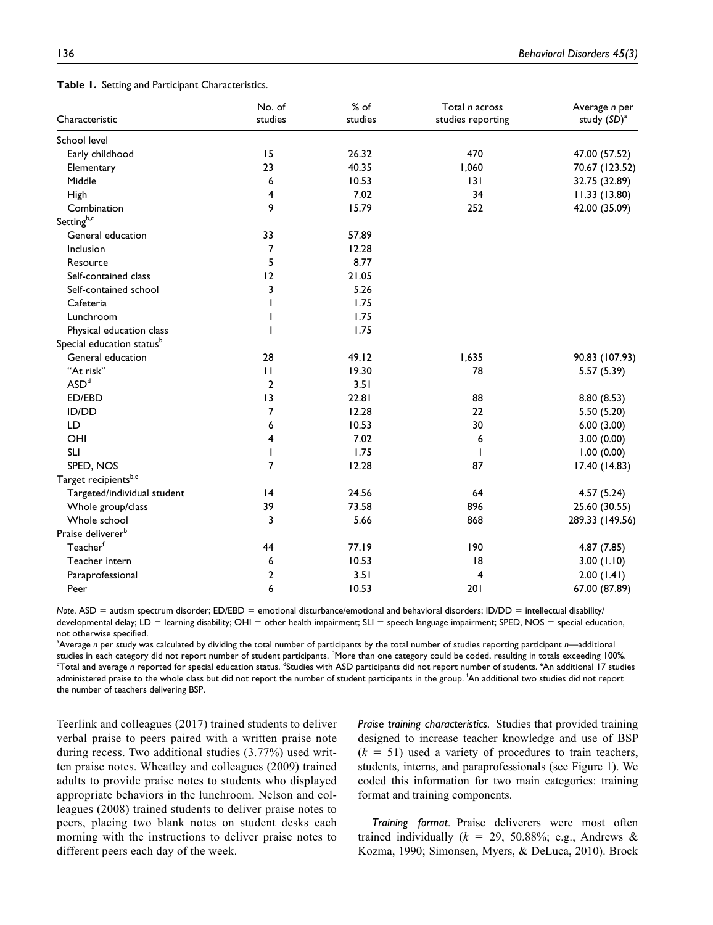|  |  |  |  |  |  | Table 1. Setting and Participant Characteristics. |  |
|--|--|--|--|--|--|---------------------------------------------------|--|
|--|--|--|--|--|--|---------------------------------------------------|--|

| Characteristic                        | No. of<br>studies | $%$ of<br>studies | Total n across<br>studies reporting | Average n per<br>study (SD) <sup>a</sup> |
|---------------------------------------|-------------------|-------------------|-------------------------------------|------------------------------------------|
| School level                          |                   |                   |                                     |                                          |
| Early childhood                       | 15                | 26.32             | 470                                 | 47.00 (57.52)                            |
| Elementary                            | 23                | 40.35             | 1,060                               | 70.67 (123.52)                           |
| Middle                                | 6                 | 10.53             | 3                                   | 32.75 (32.89)                            |
| High                                  | 4                 | 7.02              | 34                                  | 11.33 (13.80)                            |
| Combination                           | 9                 | 15.79             | 252                                 | 42.00 (35.09)                            |
| Settingb,c                            |                   |                   |                                     |                                          |
| General education                     | 33                | 57.89             |                                     |                                          |
| Inclusion                             | $\overline{7}$    | 12.28             |                                     |                                          |
| Resource                              | 5                 | 8.77              |                                     |                                          |
| Self-contained class                  | 12                | 21.05             |                                     |                                          |
| Self-contained school                 | 3                 | 5.26              |                                     |                                          |
| Cafeteria                             |                   | 1.75              |                                     |                                          |
| Lunchroom                             |                   | 1.75              |                                     |                                          |
| Physical education class              |                   | 1.75              |                                     |                                          |
| Special education status <sup>b</sup> |                   |                   |                                     |                                          |
| General education                     | 28                | 49.12             | 1,635                               | 90.83 (107.93)                           |
| "At risk"                             | $\mathbf{H}$      | 19.30             | 78                                  | 5.57 (5.39)                              |
| ASD <sup>d</sup>                      | $\overline{2}$    | 3.51              |                                     |                                          |
| ED/EBD                                | 13                | 22.81             | 88                                  | 8.80 (8.53)                              |
| <b>ID/DD</b>                          | 7                 | 12.28             | 22                                  | 5.50(5.20)                               |
| LD                                    | 6                 | 10.53             | 30                                  | 6.00(3.00)                               |
| OHI                                   | $\overline{4}$    | 7.02              | 6                                   | 3.00(0.00)                               |
| <b>SLI</b>                            |                   | 1.75              | <sup>1</sup>                        | 1.00(0.00)                               |
| SPED, NOS                             | 7                 | 12.28             | 87                                  | 17.40 (14.83)                            |
| Target recipientsb,e                  |                   |                   |                                     |                                          |
| Targeted/individual student           | 4                 | 24.56             | 64                                  | 4.57(5.24)                               |
| Whole group/class                     | 39                | 73.58             | 896                                 | 25.60 (30.55)                            |
| Whole school                          | 3                 | 5.66              | 868                                 | 289.33 (149.56)                          |
| Praise deliverer <sup>b</sup>         |                   |                   |                                     |                                          |
| Teacher <sup>f</sup>                  | 44                | 77.19             | 190                                 | 4.87 (7.85)                              |
| Teacher intern                        | 6                 | 10.53             | 18                                  | 3.00(1.10)                               |
| Paraprofessional                      | $\mathbf{2}$      | 3.51              | 4                                   | 2.00(1.41)                               |
| Peer                                  | 6                 | 10.53             | 201                                 | 67.00 (87.89)                            |

*Note*. ASD = autism spectrum disorder; ED/EBD = emotional disturbance/emotional and behavioral disorders; ID/DD = intellectual disability/ developmental delay; LD = learning disability; OHI = other health impairment; SLI = speech language impairment; SPED, NOS = special education, not otherwise specified.

a Average *n* per study was calculated by dividing the total number of participants by the total number of studies reporting participant *n*—additional studies in each category did not report number of student participants. <sup>b</sup>More than one category could be coded, resulting in totals exceeding 100%.<br>Enter and avenues a reported for special education status <sup>d</sup>Studies wit Total and average *n* reported for special education status. <sup>d</sup>Studies with ASD participants did not report number of students. <sup>e</sup>An additional 17 studies administered praise to the whole class but did not report the number of student participants in the group. f An additional two studies did not report the number of teachers delivering BSP.

Teerlink and colleagues (2017) trained students to deliver verbal praise to peers paired with a written praise note during recess. Two additional studies (3.77%) used written praise notes. Wheatley and colleagues (2009) trained adults to provide praise notes to students who displayed appropriate behaviors in the lunchroom. Nelson and colleagues (2008) trained students to deliver praise notes to peers, placing two blank notes on student desks each morning with the instructions to deliver praise notes to different peers each day of the week.

*Praise training characteristics.* Studies that provided training designed to increase teacher knowledge and use of BSP  $(k = 51)$  used a variety of procedures to train teachers, students, interns, and paraprofessionals (see Figure 1). We coded this information for two main categories: training format and training components.

*Training format*. Praise deliverers were most often trained individually  $(k = 29, 50.88\%; e.g.,$  Andrews & Kozma, 1990; Simonsen, Myers, & DeLuca, 2010). Brock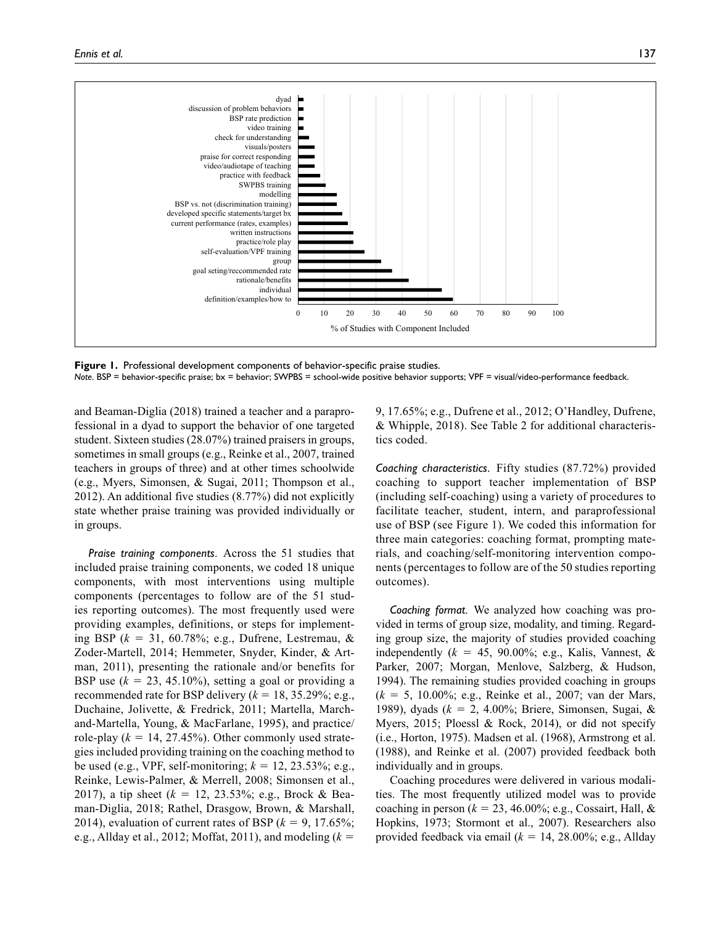

**Figure 1.** Professional development components of behavior-specific praise studies. *Note*. BSP = behavior-specific praise; bx = behavior; SWPBS = school-wide positive behavior supports; VPF = visual/video-performance feedback.

and Beaman-Diglia (2018) trained a teacher and a paraprofessional in a dyad to support the behavior of one targeted student. Sixteen studies (28.07%) trained praisers in groups, sometimes in small groups (e.g., Reinke et al., 2007, trained teachers in groups of three) and at other times schoolwide (e.g., Myers, Simonsen, & Sugai, 2011; Thompson et al., 2012). An additional five studies (8.77%) did not explicitly state whether praise training was provided individually or in groups.

*Praise training components*. Across the 51 studies that included praise training components, we coded 18 unique components, with most interventions using multiple components (percentages to follow are of the 51 studies reporting outcomes). The most frequently used were providing examples, definitions, or steps for implementing BSP (*k* = 31, 60.78%; e.g., Dufrene, Lestremau, & Zoder-Martell, 2014; Hemmeter, Snyder, Kinder, & Artman, 2011), presenting the rationale and/or benefits for BSP use  $(k = 23, 45.10\%)$ , setting a goal or providing a recommended rate for BSP delivery  $(k = 18, 35.29\%; e.g.,$ Duchaine, Jolivette, & Fredrick, 2011; Martella, Marchand-Martella, Young, & MacFarlane, 1995), and practice/ role-play  $(k = 14, 27.45\%)$ . Other commonly used strategies included providing training on the coaching method to be used (e.g., VPF, self-monitoring;  $k = 12, 23.53\%$ ; e.g., Reinke, Lewis-Palmer, & Merrell, 2008; Simonsen et al., 2017), a tip sheet (*k* = 12, 23.53%; e.g., Brock & Beaman-Diglia, 2018; Rathel, Drasgow, Brown, & Marshall, 2014), evaluation of current rates of BSP  $(k = 9, 17.65\%;$ e.g., Allday et al., 2012; Moffat, 2011), and modeling (*k* =

9, 17.65%; e.g., Dufrene et al., 2012; O'Handley, Dufrene, & Whipple, 2018). See Table 2 for additional characteristics coded.

*Coaching characteristics.* Fifty studies (87.72%) provided coaching to support teacher implementation of BSP (including self-coaching) using a variety of procedures to facilitate teacher, student, intern, and paraprofessional use of BSP (see Figure 1). We coded this information for three main categories: coaching format, prompting materials, and coaching/self-monitoring intervention components (percentages to follow are of the 50 studies reporting outcomes).

*Coaching format*. We analyzed how coaching was provided in terms of group size, modality, and timing. Regarding group size, the majority of studies provided coaching independently  $(k = 45, 90.00\%; e.g., Kalis, Vannest, &$ Parker, 2007; Morgan, Menlove, Salzberg, & Hudson, 1994). The remaining studies provided coaching in groups (*k* = 5, 10.00%; e.g., Reinke et al., 2007; van der Mars, 1989), dyads (*k* = 2, 4.00%; Briere, Simonsen, Sugai, & Myers, 2015; Ploessl & Rock, 2014), or did not specify (i.e., Horton, 1975). Madsen et al. (1968), Armstrong et al. (1988), and Reinke et al. (2007) provided feedback both individually and in groups.

Coaching procedures were delivered in various modalities. The most frequently utilized model was to provide coaching in person ( $k = 23, 46.00\%$ ; e.g., Cossairt, Hall, & Hopkins, 1973; Stormont et al., 2007). Researchers also provided feedback via email (*k* = 14, 28.00%; e.g., Allday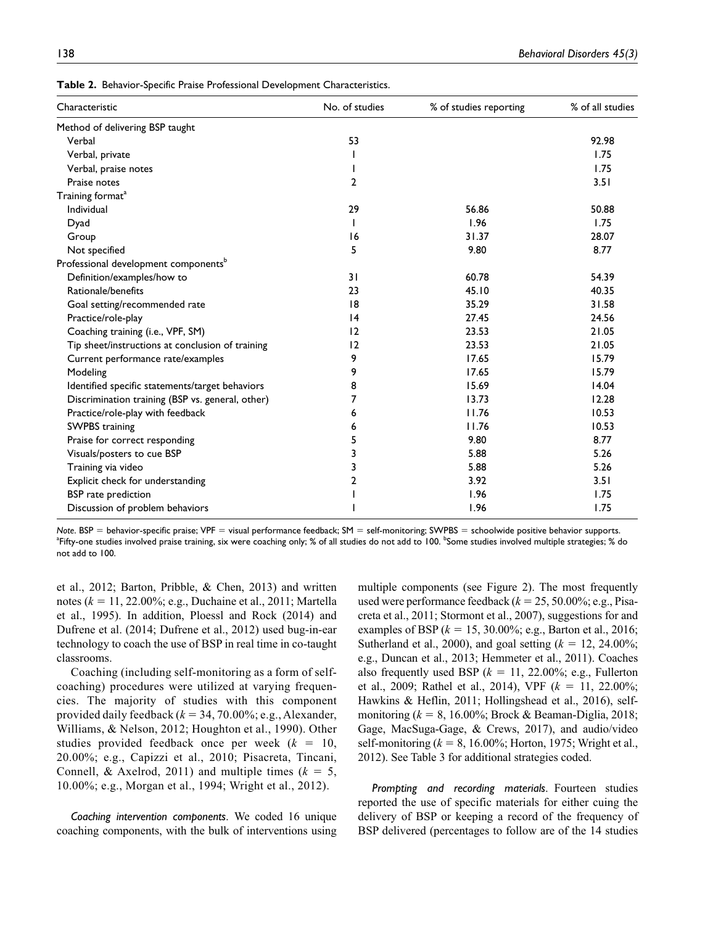| <b>Table 2.</b> Behavior-Specific Praise Professional Development Characteristics. |
|------------------------------------------------------------------------------------|
|------------------------------------------------------------------------------------|

| Characteristic                                   | No. of studies | % of studies reporting | % of all studies |
|--------------------------------------------------|----------------|------------------------|------------------|
| Method of delivering BSP taught                  |                |                        |                  |
| Verbal                                           | 53             |                        | 92.98            |
| Verbal, private                                  |                |                        | 1.75             |
| Verbal, praise notes                             |                |                        | 1.75             |
| Praise notes                                     | $\mathbf{2}$   |                        | 3.51             |
| Training format <sup>a</sup>                     |                |                        |                  |
| Individual                                       | 29             | 56.86                  | 50.88            |
| Dyad                                             | ı              | 1.96                   | 1.75             |
| Group                                            | 16             | 31.37                  | 28.07            |
| Not specified                                    | 5              | 9.80                   | 8.77             |
| Professional development components <sup>b</sup> |                |                        |                  |
| Definition/examples/how to                       | 31             | 60.78                  | 54.39            |
| Rationale/benefits                               | 23             | 45.10                  | 40.35            |
| Goal setting/recommended rate                    | 18             | 35.29                  | 31.58            |
| Practice/role-play                               | 4              | 27.45                  | 24.56            |
| Coaching training (i.e., VPF, SM)                | 12             | 23.53                  | 21.05            |
| Tip sheet/instructions at conclusion of training | 12             | 23.53                  | 21.05            |
| Current performance rate/examples                | 9              | 17.65                  | 15.79            |
| Modeling                                         | 9              | 17.65                  | 15.79            |
| Identified specific statements/target behaviors  | 8              | 15.69                  | 14.04            |
| Discrimination training (BSP vs. general, other) | 7              | 13.73                  | 12.28            |
| Practice/role-play with feedback                 | 6              | 11.76                  | 10.53            |
| SWPBS training                                   | 6              | 11.76                  | 10.53            |
| Praise for correct responding                    | 5              | 9.80                   | 8.77             |
| Visuals/posters to cue BSP                       | 3              | 5.88                   | 5.26             |
| Training via video                               | 3              | 5.88                   | 5.26             |
| Explicit check for understanding                 | $\mathbf{2}$   | 3.92                   | 3.51             |
| BSP rate prediction                              |                | 1.96                   | 1.75             |
| Discussion of problem behaviors                  |                | 1.96                   | 1.75             |

*Note*. BSP = behavior-specific praise; VPF = visual performance feedback; SM = self-monitoring; SWPBS = schoolwide positive behavior supports. Fifty-one studies involved praise training, six were coaching only; % of all studies do not add to 100. *Some studies involved multiple strategies*; % do not add to 100.

et al., 2012; Barton, Pribble, & Chen, 2013) and written notes (*k* = 11, 22.00%; e.g., Duchaine et al., 2011; Martella et al., 1995). In addition, Ploessl and Rock (2014) and Dufrene et al. (2014; Dufrene et al., 2012) used bug-in-ear technology to coach the use of BSP in real time in co-taught classrooms.

Coaching (including self-monitoring as a form of selfcoaching) procedures were utilized at varying frequencies. The majority of studies with this component provided daily feedback (*k* = 34, 70.00%; e.g., Alexander, Williams, & Nelson, 2012; Houghton et al., 1990). Other studies provided feedback once per week  $(k = 10)$ , 20.00%; e.g., Capizzi et al., 2010; Pisacreta, Tincani, Connell, & Axelrod, 2011) and multiple times  $(k = 5)$ , 10.00%; e.g., Morgan et al., 1994; Wright et al., 2012).

*Coaching intervention components*. We coded 16 unique coaching components, with the bulk of interventions using multiple components (see Figure 2). The most frequently used were performance feedback (*k* = 25, 50.00%; e.g., Pisacreta et al., 2011; Stormont et al., 2007), suggestions for and examples of BSP  $(k = 15, 30.00\%; e.g.,$  Barton et al., 2016; Sutherland et al., 2000), and goal setting  $(k = 12, 24.00\%$ ; e.g., Duncan et al., 2013; Hemmeter et al., 2011). Coaches also frequently used BSP  $(k = 11, 22.00\%; e.g.,$  Fullerton et al., 2009; Rathel et al., 2014), VPF (*k* = 11, 22.00%; Hawkins & Heflin, 2011; Hollingshead et al., 2016), selfmonitoring  $(k = 8, 16.00\%;$  Brock & Beaman-Diglia, 2018; Gage, MacSuga-Gage, & Crews, 2017), and audio/video self-monitoring  $(k = 8, 16.00\%;$  Horton, 1975; Wright et al., 2012). See Table 3 for additional strategies coded.

*Prompting and recording materials*. Fourteen studies reported the use of specific materials for either cuing the delivery of BSP or keeping a record of the frequency of BSP delivered (percentages to follow are of the 14 studies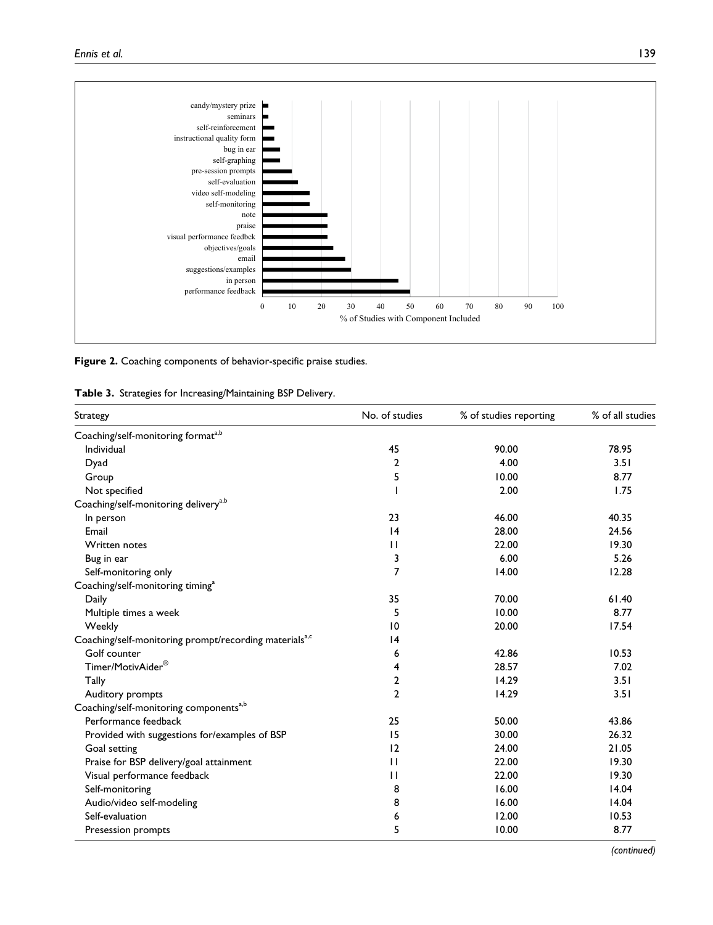

**Figure 2.** Coaching components of behavior-specific praise studies.

|  |  | Table 3. Strategies for Increasing/Maintaining BSP Delivery. |  |
|--|--|--------------------------------------------------------------|--|
|--|--|--------------------------------------------------------------|--|

| Strategy                                                           | No. of studies | % of studies reporting | % of all studies |
|--------------------------------------------------------------------|----------------|------------------------|------------------|
| Coaching/self-monitoring formata,b                                 |                |                        |                  |
| Individual                                                         | 45             | 90.00                  | 78.95            |
| Dyad                                                               | 2              | 4.00                   | 3.51             |
| Group                                                              | 5              | 10.00                  | 8.77             |
| Not specified                                                      |                | 2.00                   | 1.75             |
| Coaching/self-monitoring delivery <sup>a,b</sup>                   |                |                        |                  |
| In person                                                          | 23             | 46.00                  | 40.35            |
| Email                                                              | 4              | 28.00                  | 24.56            |
| Written notes                                                      | п              | 22.00                  | 19.30            |
| Bug in ear                                                         | 3              | 6.00                   | 5.26             |
| Self-monitoring only                                               | 7              | 14.00                  | 12.28            |
| Coaching/self-monitoring timing <sup>a</sup>                       |                |                        |                  |
| Daily                                                              | 35             | 70.00                  | 61.40            |
| Multiple times a week                                              | 5              | 10.00                  | 8.77             |
| Weekly                                                             | 10             | 20.00                  | 17.54            |
| Coaching/self-monitoring prompt/recording materials <sup>a,c</sup> | 14             |                        |                  |
| Golf counter                                                       | 6              | 42.86                  | 10.53            |
| Timer/MotivAider®                                                  | 4              | 28.57                  | 7.02             |
| <b>Tally</b>                                                       | 2              | 14.29                  | 3.51             |
| Auditory prompts                                                   | $\mathbf{2}$   | 14.29                  | 3.51             |
| Coaching/self-monitoring components <sup>a,b</sup>                 |                |                        |                  |
| Performance feedback                                               | 25             | 50.00                  | 43.86            |
| Provided with suggestions for/examples of BSP                      | 15             | 30.00                  | 26.32            |
| Goal setting                                                       | 12             | 24.00                  | 21.05            |
| Praise for BSP delivery/goal attainment                            | $\mathbf{H}$   | 22.00                  | 19.30            |
| Visual performance feedback                                        | П              | 22.00                  | 19.30            |
| Self-monitoring                                                    | 8              | 16.00                  | 14.04            |
| Audio/video self-modeling                                          | 8              | 16.00                  | 14.04            |
| Self-evaluation                                                    | 6              | 12.00                  | 10.53            |
| Presession prompts                                                 | 5              | 10.00                  | 8.77             |

*(continued)*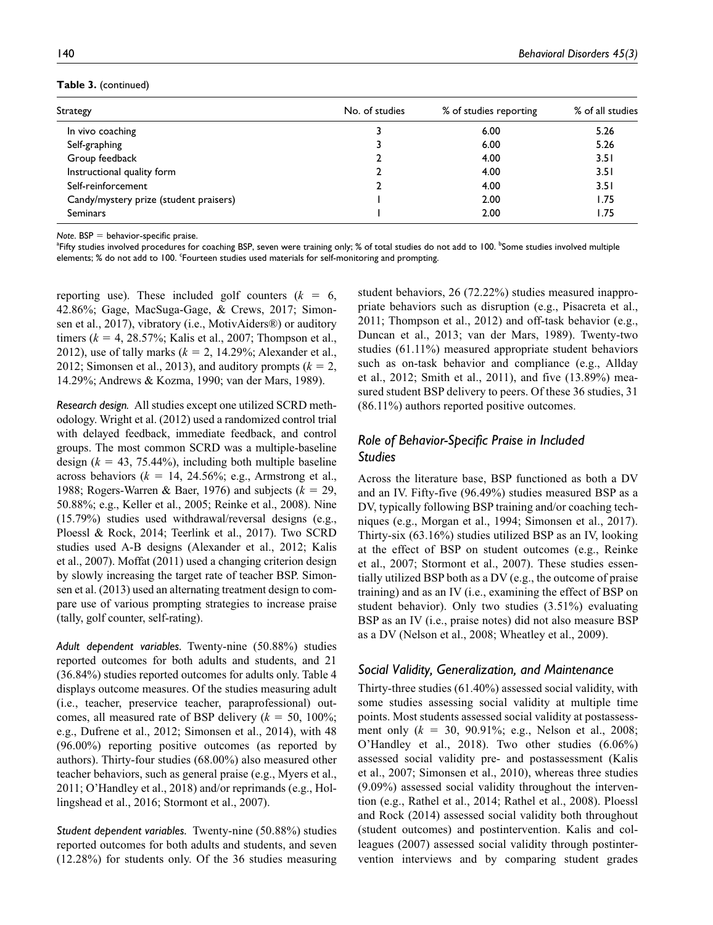#### **Table 3.** (continued)

| Strategy                               | No. of studies | % of studies reporting | % of all studies |
|----------------------------------------|----------------|------------------------|------------------|
| In vivo coaching                       |                | 6.00                   | 5.26             |
| Self-graphing                          |                | 6.00                   | 5.26             |
| Group feedback                         |                | 4.00                   | 3.51             |
| Instructional quality form             |                | 4.00                   | 3.51             |
| Self-reinforcement                     |                | 4.00                   | 3.51             |
| Candy/mystery prize (student praisers) |                | 2.00                   | 1.75             |
| <b>Seminars</b>                        |                | 2.00                   | 1.75             |

*Note*. BSP = behavior-specific praise.

Fifty studies involved procedures for coaching BSP, seven were training only; % of total studies do not add to 100. <sup>b</sup>Some studies involved multiple elements; % do not add to 100. 'Fourteen studies used materials for self-monitoring and prompting.

reporting use). These included golf counters  $(k = 6,$ 42.86%; Gage, MacSuga-Gage, & Crews, 2017; Simonsen et al., 2017), vibratory (i.e., MotivAiders®) or auditory timers (*k* = 4, 28.57%; Kalis et al., 2007; Thompson et al., 2012), use of tally marks  $(k = 2, 14.29\%;$  Alexander et al., 2012; Simonsen et al., 2013), and auditory prompts  $(k = 2,$ 14.29%; Andrews & Kozma, 1990; van der Mars, 1989).

*Research design.* All studies except one utilized SCRD methodology. Wright et al. (2012) used a randomized control trial with delayed feedback, immediate feedback, and control groups. The most common SCRD was a multiple-baseline design  $(k = 43, 75.44\%)$ , including both multiple baseline across behaviors  $(k = 14, 24.56\%; e.g., Armstrong et al.,)$ 1988; Rogers-Warren & Baer, 1976) and subjects (*k* = 29, 50.88%; e.g., Keller et al., 2005; Reinke et al., 2008). Nine (15.79%) studies used withdrawal/reversal designs (e.g., Ploessl & Rock, 2014; Teerlink et al., 2017). Two SCRD studies used A-B designs (Alexander et al., 2012; Kalis et al., 2007). Moffat (2011) used a changing criterion design by slowly increasing the target rate of teacher BSP. Simonsen et al. (2013) used an alternating treatment design to compare use of various prompting strategies to increase praise (tally, golf counter, self-rating).

*Adult dependent variables.* Twenty-nine (50.88%) studies reported outcomes for both adults and students, and 21 (36.84%) studies reported outcomes for adults only. Table 4 displays outcome measures. Of the studies measuring adult (i.e., teacher, preservice teacher, paraprofessional) outcomes, all measured rate of BSP delivery  $(k = 50, 100\%;$ e.g., Dufrene et al., 2012; Simonsen et al., 2014), with 48 (96.00%) reporting positive outcomes (as reported by authors). Thirty-four studies (68.00%) also measured other teacher behaviors, such as general praise (e.g., Myers et al., 2011; O'Handley et al., 2018) and/or reprimands (e.g., Hollingshead et al., 2016; Stormont et al., 2007).

*Student dependent variables.* Twenty-nine (50.88%) studies reported outcomes for both adults and students, and seven (12.28%) for students only. Of the 36 studies measuring student behaviors, 26 (72.22%) studies measured inappropriate behaviors such as disruption (e.g., Pisacreta et al., 2011; Thompson et al., 2012) and off-task behavior (e.g., Duncan et al., 2013; van der Mars, 1989). Twenty-two studies (61.11%) measured appropriate student behaviors such as on-task behavior and compliance (e.g., Allday et al., 2012; Smith et al., 2011), and five (13.89%) measured student BSP delivery to peers. Of these 36 studies, 31 (86.11%) authors reported positive outcomes.

## *Role of Behavior-Specific Praise in Included Studies*

Across the literature base, BSP functioned as both a DV and an IV. Fifty-five (96.49%) studies measured BSP as a DV, typically following BSP training and/or coaching techniques (e.g., Morgan et al., 1994; Simonsen et al., 2017). Thirty-six (63.16%) studies utilized BSP as an IV, looking at the effect of BSP on student outcomes (e.g., Reinke et al., 2007; Stormont et al., 2007). These studies essentially utilized BSP both as a DV (e.g., the outcome of praise training) and as an IV (i.e., examining the effect of BSP on student behavior). Only two studies (3.51%) evaluating BSP as an IV (i.e., praise notes) did not also measure BSP as a DV (Nelson et al., 2008; Wheatley et al., 2009).

## *Social Validity, Generalization, and Maintenance*

Thirty-three studies (61.40%) assessed social validity, with some studies assessing social validity at multiple time points. Most students assessed social validity at postassessment only (*k* = 30, 90.91%; e.g., Nelson et al., 2008; O'Handley et al., 2018). Two other studies (6.06%) assessed social validity pre- and postassessment (Kalis et al., 2007; Simonsen et al., 2010), whereas three studies (9.09%) assessed social validity throughout the intervention (e.g., Rathel et al., 2014; Rathel et al., 2008). Ploessl and Rock (2014) assessed social validity both throughout (student outcomes) and postintervention. Kalis and colleagues (2007) assessed social validity through postintervention interviews and by comparing student grades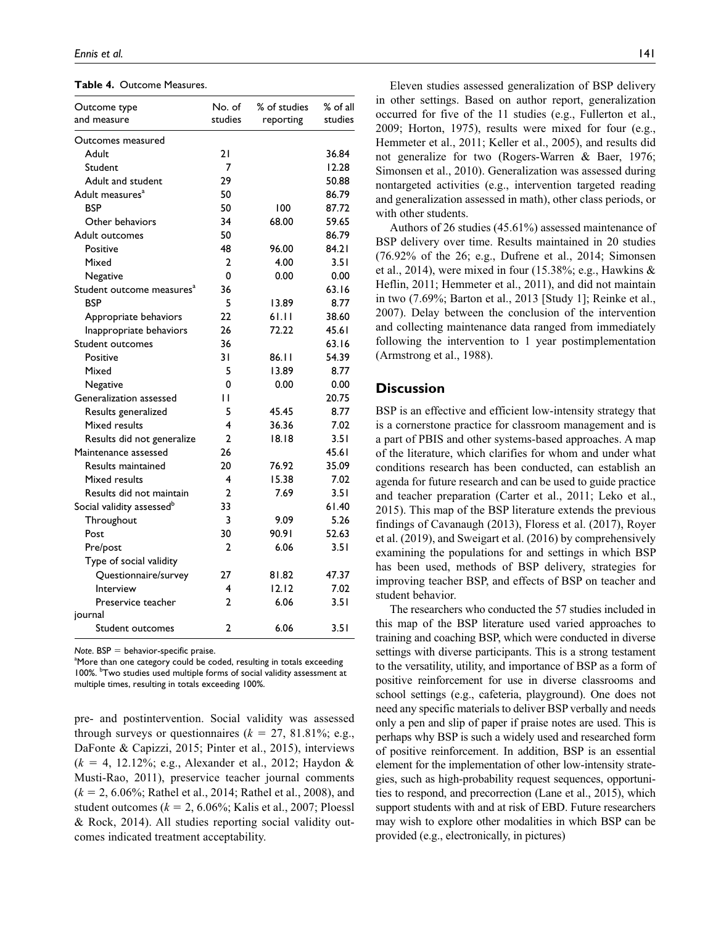|  | <b>Table 4.</b> Outcome Measures. |  |
|--|-----------------------------------|--|
|--|-----------------------------------|--|

| Outcome type<br>and measure           | No. of<br>studies | % of studies<br>reporting | % of all<br>studies |
|---------------------------------------|-------------------|---------------------------|---------------------|
| Outcomes measured                     |                   |                           |                     |
| Adult                                 | 21                |                           | 36.84               |
| Student                               | 7                 |                           | 12.28               |
| Adult and student                     | 29                |                           | 50.88               |
| Adult measures <sup>a</sup>           | 50                |                           | 86.79               |
| <b>BSP</b>                            | 50                | 100                       | 87.72               |
| Other behaviors                       | 34                | 68.00                     | 59.65               |
| Adult outcomes                        | 50                |                           | 86.79               |
| Positive                              | 48                | 96.00                     | 84.21               |
| Mixed                                 | $\overline{2}$    | 4.00                      | 3.51                |
| Negative                              | 0                 | 0.00                      | 0.00                |
| Student outcome measures <sup>a</sup> | 36                |                           | 63.16               |
| <b>RSP</b>                            | 5                 | 13.89                     | 8.77                |
| Appropriate behaviors                 | 22                | 61.IT                     | 38.60               |
| Inappropriate behaviors               | 26                | 72.22                     | 45.61               |
| Student outcomes                      | 36                |                           | 63.16               |
| Positive                              | 31                | 86.11                     | 54.39               |
| Mixed                                 | 5                 | 13.89                     | 8.77                |
| Negative                              | 0                 | 0.00                      | 0.00                |
| Generalization assessed               | П                 |                           | 20.75               |
| Results generalized                   | 5                 | 45.45                     | 8.77                |
| Mixed results                         | 4                 | 36.36                     | 7.02                |
| Results did not generalize            | $\overline{2}$    | 18.18                     | 3.51                |
| Maintenance assessed                  | 26                |                           | 45.61               |
| Results maintained                    | 20                | 76.92                     | 35.09               |
| Mixed results                         | 4                 | 15.38                     | 7.02                |
| Results did not maintain              | 2                 | 7.69                      | 3.51                |
| Social validity assessed <sup>b</sup> | 33                |                           | 61.40               |
| Throughout                            | 3                 | 9.09                      | 5.26                |
| Post                                  | 30                | 90.91                     | 52.63               |
| Pre/post                              | 2                 | 6.06                      | 3.51                |
| Type of social validity               |                   |                           |                     |
| Questionnaire/survey                  | 27                | 81.82                     | 47.37               |
| Interview                             | 4                 | 12.12                     | 7.02                |
| Preservice teacher                    | 2                 | 6.06                      | 3.51                |
| journal                               |                   |                           |                     |
| Student outcomes                      | 2                 | 6.06                      | 3.51                |

*Note*. BSP = behavior-specific praise.

<sup>a</sup>More than one category could be coded, resulting in totals exceeding 100%. <sup>b</sup>Two studies used multiple forms of social validity assessment at multiple times, resulting in totals exceeding 100%.

pre- and postintervention. Social validity was assessed through surveys or questionnaires ( $k = 27, 81.81\%$ ; e.g., DaFonte & Capizzi, 2015; Pinter et al., 2015), interviews (*k* = 4, 12.12%; e.g., Alexander et al., 2012; Haydon & Musti-Rao, 2011), preservice teacher journal comments (*k* = 2, 6.06%; Rathel et al., 2014; Rathel et al., 2008), and student outcomes ( $k = 2$ , 6.06%; Kalis et al., 2007; Ploessl & Rock, 2014). All studies reporting social validity outcomes indicated treatment acceptability.

Eleven studies assessed generalization of BSP delivery in other settings. Based on author report, generalization occurred for five of the 11 studies (e.g., Fullerton et al., 2009; Horton, 1975), results were mixed for four (e.g., Hemmeter et al., 2011; Keller et al., 2005), and results did not generalize for two (Rogers-Warren & Baer, 1976; Simonsen et al., 2010). Generalization was assessed during nontargeted activities (e.g., intervention targeted reading and generalization assessed in math), other class periods, or with other students.

Authors of 26 studies (45.61%) assessed maintenance of BSP delivery over time. Results maintained in 20 studies (76.92% of the 26; e.g., Dufrene et al., 2014; Simonsen et al., 2014), were mixed in four (15.38%; e.g., Hawkins & Heflin, 2011; Hemmeter et al., 2011), and did not maintain in two (7.69%; Barton et al., 2013 [Study 1]; Reinke et al., 2007). Delay between the conclusion of the intervention and collecting maintenance data ranged from immediately following the intervention to 1 year postimplementation (Armstrong et al., 1988).

## **Discussion**

BSP is an effective and efficient low-intensity strategy that is a cornerstone practice for classroom management and is a part of PBIS and other systems-based approaches. A map of the literature, which clarifies for whom and under what conditions research has been conducted, can establish an agenda for future research and can be used to guide practice and teacher preparation (Carter et al., 2011; Leko et al., 2015). This map of the BSP literature extends the previous findings of Cavanaugh (2013), Floress et al. (2017), Royer et al. (2019), and Sweigart et al. (2016) by comprehensively examining the populations for and settings in which BSP has been used, methods of BSP delivery, strategies for improving teacher BSP, and effects of BSP on teacher and student behavior.

The researchers who conducted the 57 studies included in this map of the BSP literature used varied approaches to training and coaching BSP, which were conducted in diverse settings with diverse participants. This is a strong testament to the versatility, utility, and importance of BSP as a form of positive reinforcement for use in diverse classrooms and school settings (e.g., cafeteria, playground). One does not need any specific materials to deliver BSP verbally and needs only a pen and slip of paper if praise notes are used. This is perhaps why BSP is such a widely used and researched form of positive reinforcement. In addition, BSP is an essential element for the implementation of other low-intensity strategies, such as high-probability request sequences, opportunities to respond, and precorrection (Lane et al., 2015), which support students with and at risk of EBD. Future researchers may wish to explore other modalities in which BSP can be provided (e.g., electronically, in pictures)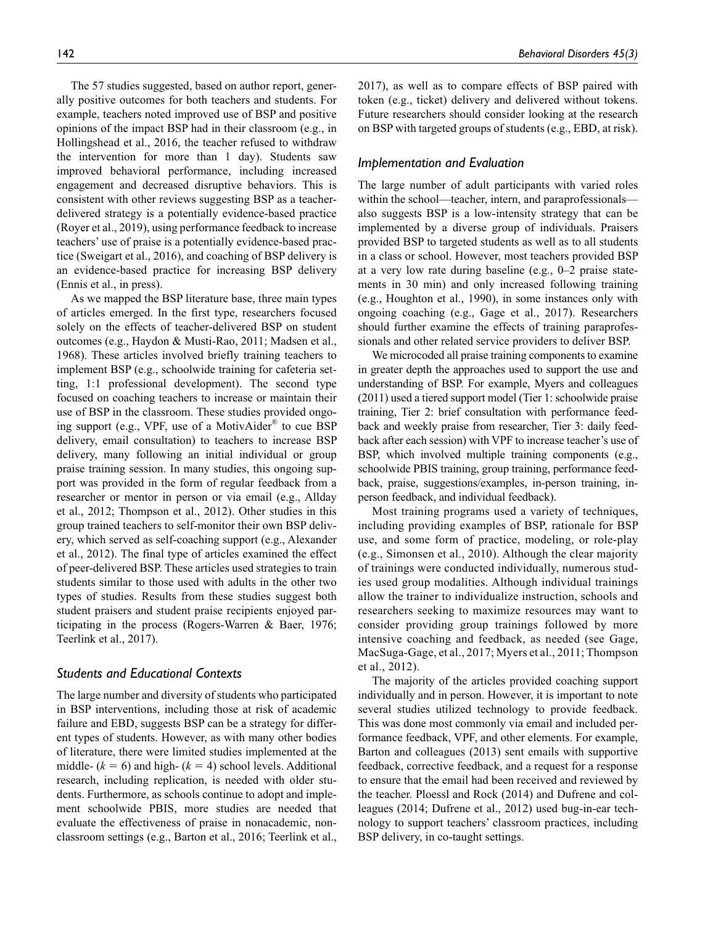The 57 studies suggested, based on author report, generally positive outcomes for both teachers and students. For example, teachers noted improved use of BSP and positive opinions of the impact BSP had in their classroom (e.g., in Hollingshead et al., 2016, the teacher refused to withdraw the intervention for more than 1 day). Students saw improved behavioral performance, including increased engagement and decreased disruptive behaviors. This is consistent with other reviews suggesting BSP as a teacherdelivered strategy is a potentially evidence-based practice (Royer et al., 2019), using performance feedback to increase teachers' use of praise is a potentially evidence-based practice (Sweigart et al., 2016), and coaching of BSP delivery is an evidence-based practice for increasing BSP delivery (Ennis et al., in press).

As we mapped the BSP literature base, three main types of articles emerged. In the first type, researchers focused solely on the effects of teacher-delivered BSP on student outcomes (e.g., Haydon & Musti-Rao, 2011; Madsen et al., 1968). These articles involved briefly training teachers to implement BSP (e.g., schoolwide training for cafeteria setting, 1:1 professional development). The second type focused on coaching teachers to increase or maintain their use of BSP in the classroom. These studies provided ongoing support (e.g., VPF, use of a MotivAider® to cue BSP delivery, email consultation) to teachers to increase BSP delivery, many following an initial individual or group praise training session. In many studies, this ongoing support was provided in the form of regular feedback from a researcher or mentor in person or via email (e.g., Allday et al., 2012; Thompson et al., 2012). Other studies in this group trained teachers to self-monitor their own BSP delivery, which served as self-coaching support (e.g., Alexander et al., 2012). The final type of articles examined the effect of peer-delivered BSP. These articles used strategies to train students similar to those used with adults in the other two types of studies. Results from these studies suggest both student praisers and student praise recipients enjoyed participating in the process (Rogers-Warren & Baer, 1976; Teerlink et al., 2017).

## *Students and Educational Contexts*

The large number and diversity of students who participated in BSP interventions, including those at risk of academic failure and EBD, suggests BSP can be a strategy for different types of students. However, as with many other bodies of literature, there were limited studies implemented at the middle-  $(k = 6)$  and high-  $(k = 4)$  school levels. Additional research, including replication, is needed with older students. Furthermore, as schools continue to adopt and implement schoolwide PBIS, more studies are needed that evaluate the effectiveness of praise in nonacademic, nonclassroom settings (e.g., Barton et al., 2016; Teerlink et al., 2017), as well as to compare effects of BSP paired with token (e.g., ticket) delivery and delivered without tokens. Future researchers should consider looking at the research on BSP with targeted groups of students (e.g., EBD, at risk).

#### *Implementation and Evaluation*

The large number of adult participants with varied roles within the school—teacher, intern, and paraprofessionals also suggests BSP is a low-intensity strategy that can be implemented by a diverse group of individuals. Praisers provided BSP to targeted students as well as to all students in a class or school. However, most teachers provided BSP at a very low rate during baseline (e.g., 0–2 praise statements in 30 min) and only increased following training (e.g., Houghton et al., 1990), in some instances only with ongoing coaching (e.g., Gage et al., 2017). Researchers should further examine the effects of training paraprofessionals and other related service providers to deliver BSP.

We microcoded all praise training components to examine in greater depth the approaches used to support the use and understanding of BSP. For example, Myers and colleagues (2011) used a tiered support model (Tier 1: schoolwide praise training, Tier 2: brief consultation with performance feedback and weekly praise from researcher, Tier 3: daily feedback after each session) with VPF to increase teacher's use of BSP, which involved multiple training components (e.g., schoolwide PBIS training, group training, performance feedback, praise, suggestions/examples, in-person training, inperson feedback, and individual feedback).

Most training programs used a variety of techniques, including providing examples of BSP, rationale for BSP use, and some form of practice, modeling, or role-play (e.g., Simonsen et al., 2010). Although the clear majority of trainings were conducted individually, numerous studies used group modalities. Although individual trainings allow the trainer to individualize instruction, schools and researchers seeking to maximize resources may want to consider providing group trainings followed by more intensive coaching and feedback, as needed (see Gage, MacSuga-Gage, et al., 2017; Myers et al., 2011; Thompson et al., 2012).

The majority of the articles provided coaching support individually and in person. However, it is important to note several studies utilized technology to provide feedback. This was done most commonly via email and included performance feedback, VPF, and other elements. For example, Barton and colleagues (2013) sent emails with supportive feedback, corrective feedback, and a request for a response to ensure that the email had been received and reviewed by the teacher. Ploessl and Rock (2014) and Dufrene and colleagues (2014; Dufrene et al., 2012) used bug-in-ear technology to support teachers' classroom practices, including BSP delivery, in co-taught settings.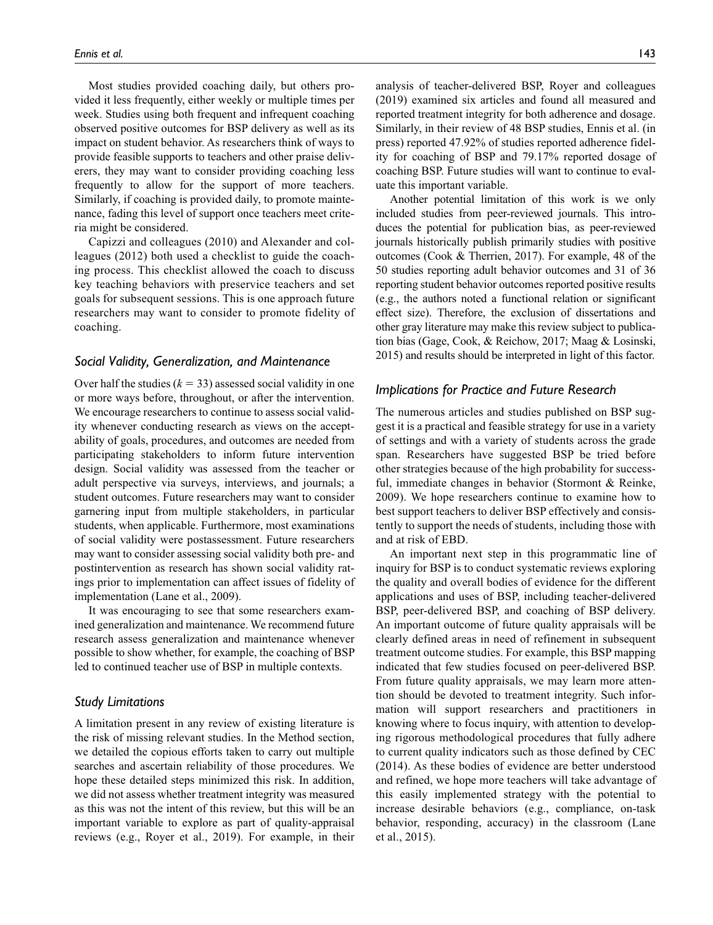Most studies provided coaching daily, but others provided it less frequently, either weekly or multiple times per week. Studies using both frequent and infrequent coaching observed positive outcomes for BSP delivery as well as its impact on student behavior. As researchers think of ways to provide feasible supports to teachers and other praise deliverers, they may want to consider providing coaching less frequently to allow for the support of more teachers. Similarly, if coaching is provided daily, to promote maintenance, fading this level of support once teachers meet criteria might be considered.

Capizzi and colleagues (2010) and Alexander and colleagues (2012) both used a checklist to guide the coaching process. This checklist allowed the coach to discuss key teaching behaviors with preservice teachers and set goals for subsequent sessions. This is one approach future researchers may want to consider to promote fidelity of coaching.

#### *Social Validity, Generalization, and Maintenance*

Over half the studies  $(k = 33)$  assessed social validity in one or more ways before, throughout, or after the intervention. We encourage researchers to continue to assess social validity whenever conducting research as views on the acceptability of goals, procedures, and outcomes are needed from participating stakeholders to inform future intervention design. Social validity was assessed from the teacher or adult perspective via surveys, interviews, and journals; a student outcomes. Future researchers may want to consider garnering input from multiple stakeholders, in particular students, when applicable. Furthermore, most examinations of social validity were postassessment. Future researchers may want to consider assessing social validity both pre- and postintervention as research has shown social validity ratings prior to implementation can affect issues of fidelity of implementation (Lane et al., 2009).

It was encouraging to see that some researchers examined generalization and maintenance. We recommend future research assess generalization and maintenance whenever possible to show whether, for example, the coaching of BSP led to continued teacher use of BSP in multiple contexts.

#### *Study Limitations*

A limitation present in any review of existing literature is the risk of missing relevant studies. In the Method section, we detailed the copious efforts taken to carry out multiple searches and ascertain reliability of those procedures. We hope these detailed steps minimized this risk. In addition, we did not assess whether treatment integrity was measured as this was not the intent of this review, but this will be an important variable to explore as part of quality-appraisal reviews (e.g., Royer et al., 2019). For example, in their

analysis of teacher-delivered BSP, Royer and colleagues (2019) examined six articles and found all measured and reported treatment integrity for both adherence and dosage. Similarly, in their review of 48 BSP studies, Ennis et al. (in press) reported 47.92% of studies reported adherence fidelity for coaching of BSP and 79.17% reported dosage of coaching BSP. Future studies will want to continue to evaluate this important variable.

Another potential limitation of this work is we only included studies from peer-reviewed journals. This introduces the potential for publication bias, as peer-reviewed journals historically publish primarily studies with positive outcomes (Cook & Therrien, 2017). For example, 48 of the 50 studies reporting adult behavior outcomes and 31 of 36 reporting student behavior outcomes reported positive results (e.g., the authors noted a functional relation or significant effect size). Therefore, the exclusion of dissertations and other gray literature may make this review subject to publication bias (Gage, Cook, & Reichow, 2017; Maag & Losinski, 2015) and results should be interpreted in light of this factor.

#### *Implications for Practice and Future Research*

The numerous articles and studies published on BSP suggest it is a practical and feasible strategy for use in a variety of settings and with a variety of students across the grade span. Researchers have suggested BSP be tried before other strategies because of the high probability for successful, immediate changes in behavior (Stormont & Reinke, 2009). We hope researchers continue to examine how to best support teachers to deliver BSP effectively and consistently to support the needs of students, including those with and at risk of EBD.

An important next step in this programmatic line of inquiry for BSP is to conduct systematic reviews exploring the quality and overall bodies of evidence for the different applications and uses of BSP, including teacher-delivered BSP, peer-delivered BSP, and coaching of BSP delivery. An important outcome of future quality appraisals will be clearly defined areas in need of refinement in subsequent treatment outcome studies. For example, this BSP mapping indicated that few studies focused on peer-delivered BSP. From future quality appraisals, we may learn more attention should be devoted to treatment integrity. Such information will support researchers and practitioners in knowing where to focus inquiry, with attention to developing rigorous methodological procedures that fully adhere to current quality indicators such as those defined by CEC (2014). As these bodies of evidence are better understood and refined, we hope more teachers will take advantage of this easily implemented strategy with the potential to increase desirable behaviors (e.g., compliance, on-task behavior, responding, accuracy) in the classroom (Lane et al., 2015).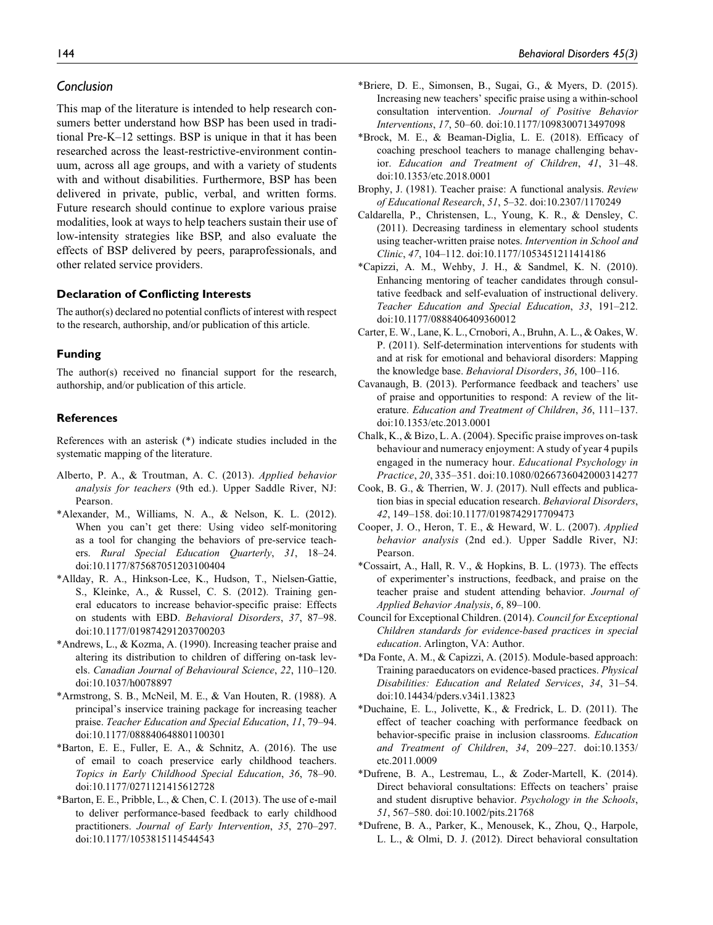## *Conclusion*

This map of the literature is intended to help research consumers better understand how BSP has been used in traditional Pre-K–12 settings. BSP is unique in that it has been researched across the least-restrictive-environment continuum, across all age groups, and with a variety of students with and without disabilities. Furthermore, BSP has been delivered in private, public, verbal, and written forms. Future research should continue to explore various praise modalities, look at ways to help teachers sustain their use of low-intensity strategies like BSP, and also evaluate the effects of BSP delivered by peers, paraprofessionals, and other related service providers.

## **Declaration of Conflicting Interests**

The author(s) declared no potential conflicts of interest with respect to the research, authorship, and/or publication of this article.

## **Funding**

The author(s) received no financial support for the research, authorship, and/or publication of this article.

## **References**

References with an asterisk (\*) indicate studies included in the systematic mapping of the literature.

- Alberto, P. A., & Troutman, A. C. (2013). *Applied behavior analysis for teachers* (9th ed.). Upper Saddle River, NJ: Pearson.
- \*Alexander, M., Williams, N. A., & Nelson, K. L. (2012). When you can't get there: Using video self-monitoring as a tool for changing the behaviors of pre-service teachers. *Rural Special Education Quarterly*, *31*, 18–24. doi:10.1177/875687051203100404
- \*Allday, R. A., Hinkson-Lee, K., Hudson, T., Nielsen-Gattie, S., Kleinke, A., & Russel, C. S. (2012). Training general educators to increase behavior-specific praise: Effects on students with EBD. *Behavioral Disorders*, *37*, 87–98. doi:10.1177/019874291203700203
- \*Andrews, L., & Kozma, A. (1990). Increasing teacher praise and altering its distribution to children of differing on-task levels. *Canadian Journal of Behavioural Science*, *22*, 110–120. doi:10.1037/h0078897
- \*Armstrong, S. B., McNeil, M. E., & Van Houten, R. (1988). A principal's inservice training package for increasing teacher praise. *Teacher Education and Special Education*, *11*, 79–94. doi:10.1177/088840648801100301
- \*Barton, E. E., Fuller, E. A., & Schnitz, A. (2016). The use of email to coach preservice early childhood teachers. *Topics in Early Childhood Special Education*, *36*, 78–90. doi:10.1177/0271121415612728
- \*Barton, E. E., Pribble, L., & Chen, C. I. (2013). The use of e-mail to deliver performance-based feedback to early childhood practitioners. *Journal of Early Intervention*, *35*, 270–297. doi:10.1177/1053815114544543
- \*Briere, D. E., Simonsen, B., Sugai, G., & Myers, D. (2015). Increasing new teachers' specific praise using a within-school consultation intervention. *Journal of Positive Behavior Interventions*, *17*, 50–60. doi:10.1177/1098300713497098
- \*Brock, M. E., & Beaman-Diglia, L. E. (2018). Efficacy of coaching preschool teachers to manage challenging behavior. *Education and Treatment of Children*, *41*, 31–48. doi:10.1353/etc.2018.0001
- Brophy, J. (1981). Teacher praise: A functional analysis. *Review of Educational Research*, *51*, 5–32. doi:10.2307/1170249
- Caldarella, P., Christensen, L., Young, K. R., & Densley, C. (2011). Decreasing tardiness in elementary school students using teacher-written praise notes. *Intervention in School and Clinic*, *47*, 104–112. doi:10.1177/1053451211414186
- \*Capizzi, A. M., Wehby, J. H., & Sandmel, K. N. (2010). Enhancing mentoring of teacher candidates through consultative feedback and self-evaluation of instructional delivery. *Teacher Education and Special Education*, *33*, 191–212. doi:10.1177/0888406409360012
- Carter, E. W., Lane, K. L., Crnobori, A., Bruhn, A. L., & Oakes, W. P. (2011). Self-determination interventions for students with and at risk for emotional and behavioral disorders: Mapping the knowledge base. *Behavioral Disorders*, *36*, 100–116.
- Cavanaugh, B. (2013). Performance feedback and teachers' use of praise and opportunities to respond: A review of the literature. *Education and Treatment of Children*, *36*, 111–137. doi:10.1353/etc.2013.0001
- Chalk, K., & Bizo, L. A. (2004). Specific praise improves on-task behaviour and numeracy enjoyment: A study of year 4 pupils engaged in the numeracy hour. *Educational Psychology in Practice*, *20*, 335–351. doi:10.1080/0266736042000314277
- Cook, B. G., & Therrien, W. J. (2017). Null effects and publication bias in special education research. *Behavioral Disorders*, *42*, 149–158. doi:10.1177/0198742917709473
- Cooper, J. O., Heron, T. E., & Heward, W. L. (2007). *Applied behavior analysis* (2nd ed.). Upper Saddle River, NJ: Pearson.
- \*Cossairt, A., Hall, R. V., & Hopkins, B. L. (1973). The effects of experimenter's instructions, feedback, and praise on the teacher praise and student attending behavior. *Journal of Applied Behavior Analysis*, *6*, 89–100.
- Council for Exceptional Children. (2014). *Council for Exceptional Children standards for evidence-based practices in special education*. Arlington, VA: Author.
- \*Da Fonte, A. M., & Capizzi, A. (2015). Module-based approach: Training paraeducators on evidence-based practices. *Physical Disabilities: Education and Related Services*, *34*, 31–54. doi:10.14434/pders.v34i1.13823
- \*Duchaine, E. L., Jolivette, K., & Fredrick, L. D. (2011). The effect of teacher coaching with performance feedback on behavior-specific praise in inclusion classrooms. *Education and Treatment of Children*, *34*, 209–227. doi:10.1353/ etc.2011.0009
- \*Dufrene, B. A., Lestremau, L., & Zoder-Martell, K. (2014). Direct behavioral consultations: Effects on teachers' praise and student disruptive behavior. *Psychology in the Schools*, *51*, 567–580. doi:10.1002/pits.21768
- \*Dufrene, B. A., Parker, K., Menousek, K., Zhou, Q., Harpole, L. L., & Olmi, D. J. (2012). Direct behavioral consultation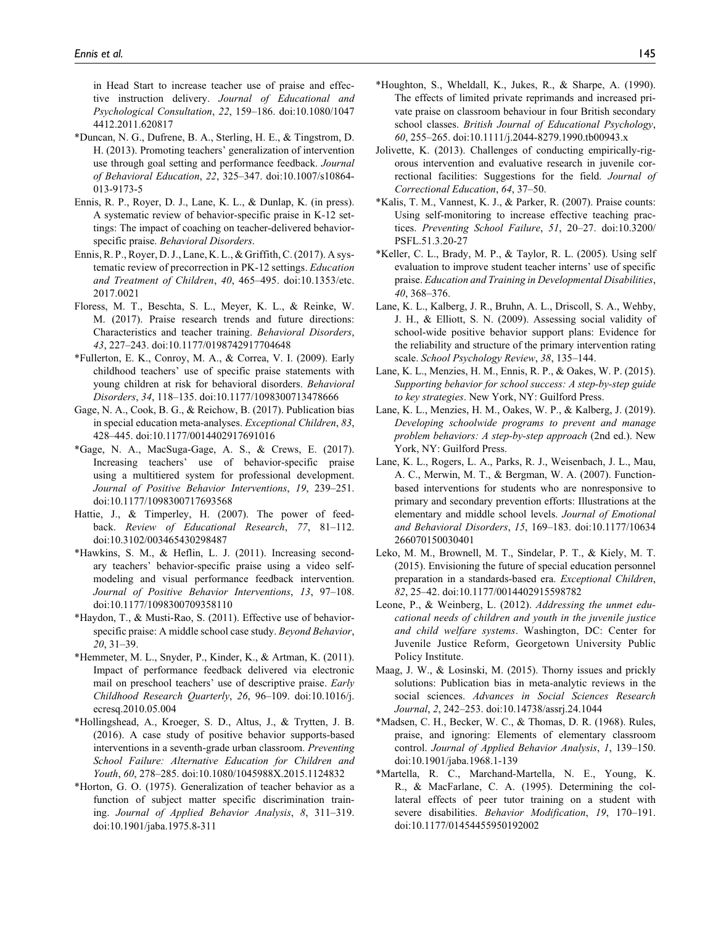in Head Start to increase teacher use of praise and effective instruction delivery. *Journal of Educational and Psychological Consultation*, *22*, 159–186. doi:10.1080/1047 4412.2011.620817

- \*Duncan, N. G., Dufrene, B. A., Sterling, H. E., & Tingstrom, D. H. (2013). Promoting teachers' generalization of intervention use through goal setting and performance feedback. *Journal of Behavioral Education*, *22*, 325–347. doi:10.1007/s10864- 013-9173-5
- Ennis, R. P., Royer, D. J., Lane, K. L., & Dunlap, K. (in press). A systematic review of behavior-specific praise in K-12 settings: The impact of coaching on teacher-delivered behaviorspecific praise. *Behavioral Disorders*.
- Ennis, R. P., Royer, D. J., Lane, K. L., & Griffith, C. (2017). A systematic review of precorrection in PK-12 settings. *Education and Treatment of Children*, *40*, 465–495. doi:10.1353/etc. 2017.0021
- Floress, M. T., Beschta, S. L., Meyer, K. L., & Reinke, W. M. (2017). Praise research trends and future directions: Characteristics and teacher training. *Behavioral Disorders*, *43*, 227–243. doi:10.1177/0198742917704648
- \*Fullerton, E. K., Conroy, M. A., & Correa, V. I. (2009). Early childhood teachers' use of specific praise statements with young children at risk for behavioral disorders. *Behavioral Disorders*, *34*, 118–135. doi:10.1177/1098300713478666
- Gage, N. A., Cook, B. G., & Reichow, B. (2017). Publication bias in special education meta-analyses. *Exceptional Children*, *83*, 428–445. doi:10.1177/0014402917691016
- \*Gage, N. A., MacSuga-Gage, A. S., & Crews, E. (2017). Increasing teachers' use of behavior-specific praise using a multitiered system for professional development. *Journal of Positive Behavior Interventions*, *19*, 239–251. doi:10.1177/1098300717693568
- Hattie, J., & Timperley, H. (2007). The power of feedback. *Review of Educational Research*, *77*, 81–112. doi:10.3102/003465430298487
- \*Hawkins, S. M., & Heflin, L. J. (2011). Increasing secondary teachers' behavior-specific praise using a video selfmodeling and visual performance feedback intervention. *Journal of Positive Behavior Interventions*, *13*, 97–108. doi:10.1177/1098300709358110
- \*Haydon, T., & Musti-Rao, S. (2011). Effective use of behaviorspecific praise: A middle school case study. *Beyond Behavior*, *20*, 31–39.
- \*Hemmeter, M. L., Snyder, P., Kinder, K., & Artman, K. (2011). Impact of performance feedback delivered via electronic mail on preschool teachers' use of descriptive praise. *Early Childhood Research Quarterly*, *26*, 96–109. doi:10.1016/j. ecresq.2010.05.004
- \*Hollingshead, A., Kroeger, S. D., Altus, J., & Trytten, J. B. (2016). A case study of positive behavior supports-based interventions in a seventh-grade urban classroom. *Preventing School Failure: Alternative Education for Children and Youth*, *60*, 278–285. doi:10.1080/1045988X.2015.1124832
- \*Horton, G. O. (1975). Generalization of teacher behavior as a function of subject matter specific discrimination training. *Journal of Applied Behavior Analysis*, *8*, 311–319. doi:10.1901/jaba.1975.8-311
- \*Houghton, S., Wheldall, K., Jukes, R., & Sharpe, A. (1990). The effects of limited private reprimands and increased private praise on classroom behaviour in four British secondary school classes. *British Journal of Educational Psychology*, *60*, 255–265. doi:10.1111/j.2044-8279.1990.tb00943.x
- Jolivette, K. (2013). Challenges of conducting empirically-rigorous intervention and evaluative research in juvenile correctional facilities: Suggestions for the field. *Journal of Correctional Education*, *64*, 37–50.
- \*Kalis, T. M., Vannest, K. J., & Parker, R. (2007). Praise counts: Using self-monitoring to increase effective teaching practices. *Preventing School Failure*, *51*, 20–27. doi:10.3200/ PSFL.51.3.20-27
- \*Keller, C. L., Brady, M. P., & Taylor, R. L. (2005). Using self evaluation to improve student teacher interns' use of specific praise. *Education and Training in Developmental Disabilities*, *40*, 368–376.
- Lane, K. L., Kalberg, J. R., Bruhn, A. L., Driscoll, S. A., Wehby, J. H., & Elliott, S. N. (2009). Assessing social validity of school-wide positive behavior support plans: Evidence for the reliability and structure of the primary intervention rating scale. *School Psychology Review*, *38*, 135–144.
- Lane, K. L., Menzies, H. M., Ennis, R. P., & Oakes, W. P. (2015). *Supporting behavior for school success: A step-by-step guide to key strategies*. New York, NY: Guilford Press.
- Lane, K. L., Menzies, H. M., Oakes, W. P., & Kalberg, J. (2019). *Developing schoolwide programs to prevent and manage problem behaviors: A step-by-step approach* (2nd ed.). New York, NY: Guilford Press.
- Lane, K. L., Rogers, L. A., Parks, R. J., Weisenbach, J. L., Mau, A. C., Merwin, M. T., & Bergman, W. A. (2007). Functionbased interventions for students who are nonresponsive to primary and secondary prevention efforts: Illustrations at the elementary and middle school levels. *Journal of Emotional and Behavioral Disorders*, *15*, 169–183. doi:10.1177/10634 266070150030401
- Leko, M. M., Brownell, M. T., Sindelar, P. T., & Kiely, M. T. (2015). Envisioning the future of special education personnel preparation in a standards-based era. *Exceptional Children*, *82*, 25–42. doi:10.1177/0014402915598782
- Leone, P., & Weinberg, L. (2012). *Addressing the unmet educational needs of children and youth in the juvenile justice and child welfare systems*. Washington, DC: Center for Juvenile Justice Reform, Georgetown University Public Policy Institute.
- Maag, J. W., & Losinski, M. (2015). Thorny issues and prickly solutions: Publication bias in meta-analytic reviews in the social sciences. *Advances in Social Sciences Research Journal*, *2*, 242–253. doi:10.14738/assrj.24.1044
- \*Madsen, C. H., Becker, W. C., & Thomas, D. R. (1968). Rules, praise, and ignoring: Elements of elementary classroom control. *Journal of Applied Behavior Analysis*, *1*, 139–150. doi:10.1901/jaba.1968.1-139
- \*Martella, R. C., Marchand-Martella, N. E., Young, K. R., & MacFarlane, C. A. (1995). Determining the collateral effects of peer tutor training on a student with severe disabilities. *Behavior Modification*, *19*, 170–191. doi:10.1177/01454455950192002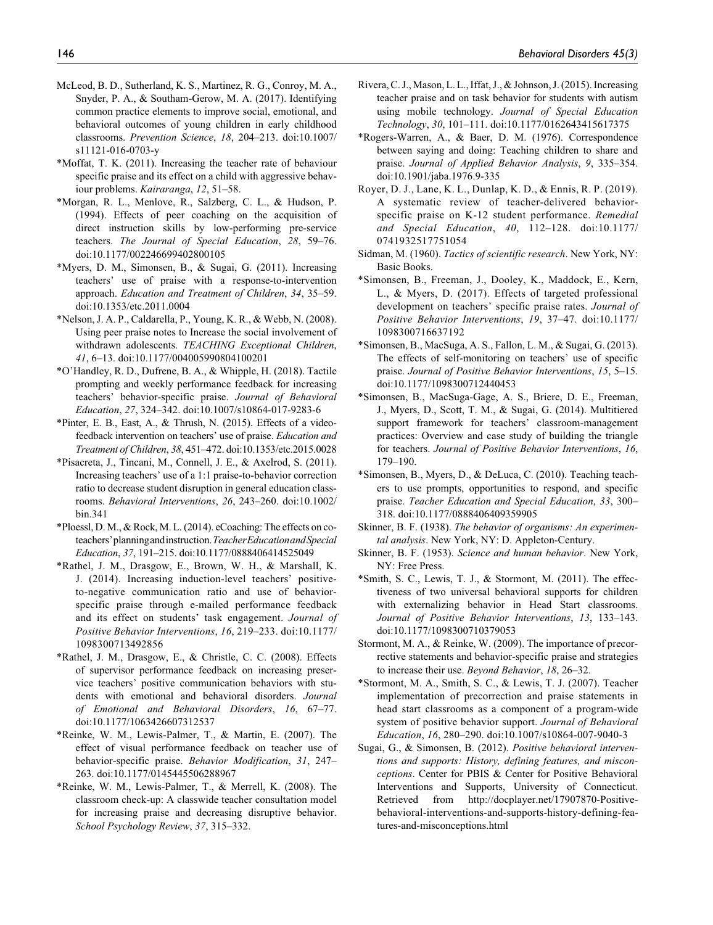- McLeod, B. D., Sutherland, K. S., Martinez, R. G., Conroy, M. A., Snyder, P. A., & Southam-Gerow, M. A. (2017). Identifying common practice elements to improve social, emotional, and behavioral outcomes of young children in early childhood classrooms. *Prevention Science*, *18*, 204–213. doi:10.1007/ s11121-016-0703-y
- \*Moffat, T. K. (2011). Increasing the teacher rate of behaviour specific praise and its effect on a child with aggressive behaviour problems. *Kairaranga*, *12*, 51–58.
- \*Morgan, R. L., Menlove, R., Salzberg, C. L., & Hudson, P. (1994). Effects of peer coaching on the acquisition of direct instruction skills by low-performing pre-service teachers. *The Journal of Special Education*, *28*, 59–76. doi:10.1177/002246699402800105
- \*Myers, D. M., Simonsen, B., & Sugai, G. (2011). Increasing teachers' use of praise with a response-to-intervention approach. *Education and Treatment of Children*, *34*, 35–59. doi:10.1353/etc.2011.0004
- \*Nelson, J. A. P., Caldarella, P., Young, K. R., & Webb, N. (2008). Using peer praise notes to Increase the social involvement of withdrawn adolescents. *TEACHING Exceptional Children*, *41*, 6–13. doi:10.1177/004005990804100201
- \*O'Handley, R. D., Dufrene, B. A., & Whipple, H. (2018). Tactile prompting and weekly performance feedback for increasing teachers' behavior-specific praise. *Journal of Behavioral Education*, *27*, 324–342. doi:10.1007/s10864-017-9283-6
- \*Pinter, E. B., East, A., & Thrush, N. (2015). Effects of a videofeedback intervention on teachers' use of praise. *Education and Treatment of Children*, *38*, 451–472. doi:10.1353/etc.2015.0028
- \*Pisacreta, J., Tincani, M., Connell, J. E., & Axelrod, S. (2011). Increasing teachers' use of a 1:1 praise-to-behavior correction ratio to decrease student disruption in general education classrooms. *Behavioral Interventions*, *26*, 243–260. doi:10.1002/ bin.341
- \*Ploessl, D. M., & Rock, M. L. (2014). eCoaching: The effects on coteachers' planning and instruction. *Teacher Education and Special Education*, *37*, 191–215. doi:10.1177/0888406414525049
- \*Rathel, J. M., Drasgow, E., Brown, W. H., & Marshall, K. J. (2014). Increasing induction-level teachers' positiveto-negative communication ratio and use of behaviorspecific praise through e-mailed performance feedback and its effect on students' task engagement. *Journal of Positive Behavior Interventions*, *16*, 219–233. doi:10.1177/ 1098300713492856
- \*Rathel, J. M., Drasgow, E., & Christle, C. C. (2008). Effects of supervisor performance feedback on increasing preservice teachers' positive communication behaviors with students with emotional and behavioral disorders. *Journal of Emotional and Behavioral Disorders*, *16*, 67–77. doi:10.1177/1063426607312537
- \*Reinke, W. M., Lewis-Palmer, T., & Martin, E. (2007). The effect of visual performance feedback on teacher use of behavior-specific praise. *Behavior Modification*, *31*, 247– 263. doi:10.1177/0145445506288967
- \*Reinke, W. M., Lewis-Palmer, T., & Merrell, K. (2008). The classroom check-up: A classwide teacher consultation model for increasing praise and decreasing disruptive behavior. *School Psychology Review*, *37*, 315–332.
- Rivera, C. J., Mason, L. L., Iffat, J., & Johnson, J. (2015). Increasing teacher praise and on task behavior for students with autism using mobile technology. *Journal of Special Education Technology*, *30*, 101–111. doi:10.1177/0162643415617375
- \*Rogers-Warren, A., & Baer, D. M. (1976). Correspondence between saying and doing: Teaching children to share and praise. *Journal of Applied Behavior Analysis*, *9*, 335–354. doi:10.1901/jaba.1976.9-335
- Royer, D. J., Lane, K. L., Dunlap, K. D., & Ennis, R. P. (2019). A systematic review of teacher-delivered behaviorspecific praise on K-12 student performance. *Remedial and Special Education*, *40*, 112–128. doi:10.1177/ 0741932517751054
- Sidman, M. (1960). *Tactics of scientific research*. New York, NY: Basic Books.
- \*Simonsen, B., Freeman, J., Dooley, K., Maddock, E., Kern, L., & Myers, D. (2017). Effects of targeted professional development on teachers' specific praise rates. *Journal of Positive Behavior Interventions*, *19*, 37–47. doi:10.1177/ 1098300716637192
- \*Simonsen, B., MacSuga, A. S., Fallon, L. M., & Sugai, G. (2013). The effects of self-monitoring on teachers' use of specific praise. *Journal of Positive Behavior Interventions*, *15*, 5–15. doi:10.1177/1098300712440453
- \*Simonsen, B., MacSuga-Gage, A. S., Briere, D. E., Freeman, J., Myers, D., Scott, T. M., & Sugai, G. (2014). Multitiered support framework for teachers' classroom-management practices: Overview and case study of building the triangle for teachers. *Journal of Positive Behavior Interventions*, *16*, 179–190.
- \*Simonsen, B., Myers, D., & DeLuca, C. (2010). Teaching teachers to use prompts, opportunities to respond, and specific praise. *Teacher Education and Special Education*, *33*, 300– 318. doi:10.1177/0888406409359905
- Skinner, B. F. (1938). *The behavior of organisms: An experimental analysis*. New York, NY: D. Appleton-Century.
- Skinner, B. F. (1953). *Science and human behavior*. New York, NY: Free Press.
- \*Smith, S. C., Lewis, T. J., & Stormont, M. (2011). The effectiveness of two universal behavioral supports for children with externalizing behavior in Head Start classrooms. *Journal of Positive Behavior Interventions*, *13*, 133–143. doi:10.1177/1098300710379053
- Stormont, M. A., & Reinke, W. (2009). The importance of precorrective statements and behavior-specific praise and strategies to increase their use. *Beyond Behavior*, *18*, 26–32.
- \*Stormont, M. A., Smith, S. C., & Lewis, T. J. (2007). Teacher implementation of precorrection and praise statements in head start classrooms as a component of a program-wide system of positive behavior support. *Journal of Behavioral Education*, *16*, 280–290. doi:10.1007/s10864-007-9040-3
- Sugai, G., & Simonsen, B. (2012). *Positive behavioral interventions and supports: History, defining features, and misconceptions*. Center for PBIS & Center for Positive Behavioral Interventions and Supports, University of Connecticut. Retrieved from [http://docplayer.net/17907870-Positive](http://docplayer.net/17907870-Positive-behavioral-interventions-and-supports-history-defining-features-and-misconceptions.html)[behavioral-interventions-and-supports-history-defining-fea](http://docplayer.net/17907870-Positive-behavioral-interventions-and-supports-history-defining-features-and-misconceptions.html)[tures-and-misconceptions.html](http://docplayer.net/17907870-Positive-behavioral-interventions-and-supports-history-defining-features-and-misconceptions.html)